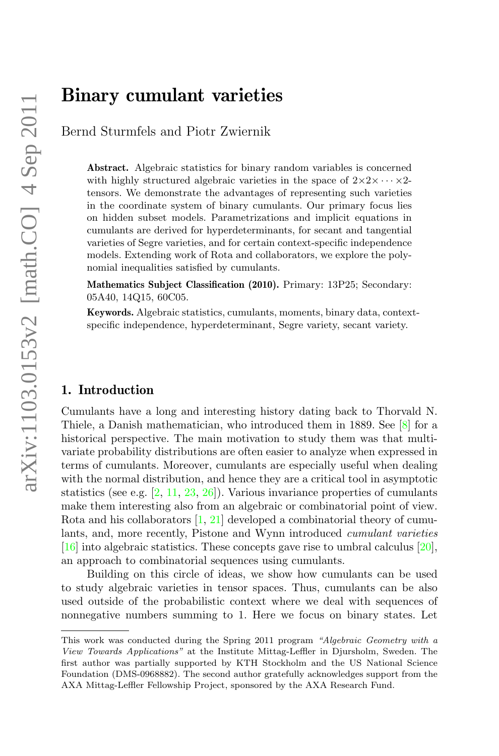# Binary cumulant varieties

Bernd Sturmfels and Piotr Zwiernik

Abstract. Algebraic statistics for binary random variables is concerned with highly structured algebraic varieties in the space of  $2 \times 2 \times \cdots \times 2$ tensors. We demonstrate the advantages of representing such varieties in the coordinate system of binary cumulants. Our primary focus lies on hidden subset models. Parametrizations and implicit equations in cumulants are derived for hyperdeterminants, for secant and tangential varieties of Segre varieties, and for certain context-specific independence models. Extending work of Rota and collaborators, we explore the polynomial inequalities satisfied by cumulants.

Mathematics Subject Classification (2010). Primary: 13P25; Secondary: 05A40, 14Q15, 60C05.

Keywords. Algebraic statistics, cumulants, moments, binary data, contextspecific independence, hyperdeterminant, Segre variety, secant variety.

# 1. Introduction

Cumulants have a long and interesting history dating back to Thorvald N. Thiele, a Danish mathematician, who introduced them in 1889. See [\[8\]](#page-19-0) for a historical perspective. The main motivation to study them was that multivariate probability distributions are often easier to analyze when expressed in terms of cumulants. Moreover, cumulants are especially useful when dealing with the normal distribution, and hence they are a critical tool in asymptotic statistics (see e.g.  $[2, 11, 23, 26]$  $[2, 11, 23, 26]$  $[2, 11, 23, 26]$  $[2, 11, 23, 26]$  $[2, 11, 23, 26]$  $[2, 11, 23, 26]$  $[2, 11, 23, 26]$ ). Various invariance properties of cumulants make them interesting also from an algebraic or combinatorial point of view. Rota and his collaborators [\[1,](#page-19-2) [21\]](#page-20-3) developed a combinatorial theory of cumulants, and, more recently, Pistone and Wynn introduced cumulant varieties [\[16\]](#page-20-4) into algebraic statistics. These concepts gave rise to umbral calculus [\[20\]](#page-20-5), an approach to combinatorial sequences using cumulants.

Building on this circle of ideas, we show how cumulants can be used to study algebraic varieties in tensor spaces. Thus, cumulants can be also used outside of the probabilistic context where we deal with sequences of nonnegative numbers summing to 1. Here we focus on binary states. Let

This work was conducted during the Spring 2011 program "Algebraic Geometry with a View Towards Applications" at the Institute Mittag-Leffler in Djursholm, Sweden. The first author was partially supported by KTH Stockholm and the US National Science Foundation (DMS-0968882). The second author gratefully acknowledges support from the AXA Mittag-Leffler Fellowship Project, sponsored by the AXA Research Fund.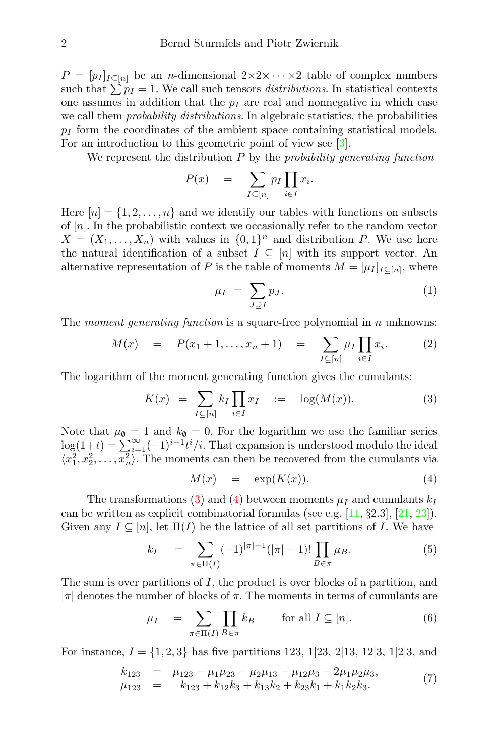$P = [p_I]_{I \subset [n]}$  be an *n*-dimensional  $2 \times 2 \times \cdots \times 2$  table of complex numbers such that  $\sum p_I = 1$ . We call such tensors *distributions*. In statistical contexts one assumes in addition that the  $p_I$  are real and nonnegative in which case we call them *probability distributions*. In algebraic statistics, the probabilities  $p_I$  form the coordinates of the ambient space containing statistical models. For an introduction to this geometric point of view see [\[3\]](#page-19-3).

We represent the distribution  $P$  by the probability generating function

$$
P(x) = \sum_{I \subseteq [n]} p_I \prod_{i \in I} x_i.
$$

Here  $[n] = \{1, 2, \ldots, n\}$  and we identify our tables with functions on subsets of [n]. In the probabilistic context we occasionally refer to the random vector  $X = (X_1, \ldots, X_n)$  with values in  $\{0, 1\}^n$  and distribution P. We use here the natural identification of a subset  $I \subseteq [n]$  with its support vector. An alternative representation of P is the table of moments  $M = [\mu_I]_{I \subseteq [n]}$ , where

<span id="page-1-4"></span>
$$
\mu_I = \sum_{J \supseteq I} p_J. \tag{1}
$$

The *moment generating function* is a square-free polynomial in  $n$  unknowns:

<span id="page-1-5"></span>
$$
M(x) = P(x_1 + 1, ..., x_n + 1) = \sum_{I \subseteq [n]} \mu_I \prod_{i \in I} x_i.
$$
 (2)

The logarithm of the moment generating function gives the cumulants:

<span id="page-1-0"></span>
$$
K(x) = \sum_{I \subseteq [n]} k_I \prod_{i \in I} x_I \quad := \quad \log(M(x)). \tag{3}
$$

Note that  $\mu_{\emptyset} = 1$  and  $k_{\emptyset} = 0$ . For the logarithm we use the familiar series  $log(1+t) = \sum_{i=1}^{\infty} (-1)^{i-1} t^i/i$ . That expansion is understood modulo the ideal  $\langle x_1^2, x_2^2, \ldots, x_n^2 \rangle$ . The moments can then be recovered from the cumulants via

<span id="page-1-1"></span>
$$
M(x) = \exp(K(x)). \tag{4}
$$

The transformations [\(3\)](#page-1-0) and [\(4\)](#page-1-1) between moments  $\mu_I$  and cumulants  $k_I$ can be written as explicit combinatorial formulas (see e.g.  $[11, §2.3], [21, 23]$  $[11, §2.3], [21, 23]$  $[11, §2.3], [21, 23]$  $[11, §2.3], [21, 23]$  $[11, §2.3], [21, 23]$ ). Given any  $I \subseteq [n]$ , let  $\Pi(I)$  be the lattice of all set partitions of I. We have

<span id="page-1-3"></span>
$$
k_I = \sum_{\pi \in \Pi(I)} (-1)^{|\pi| - 1} (|\pi| - 1)! \prod_{B \in \pi} \mu_B.
$$
 (5)

The sum is over partitions of  $I$ , the product is over blocks of a partition, and  $|\pi|$  denotes the number of blocks of  $\pi$ . The moments in terms of cumulants are

<span id="page-1-2"></span>
$$
\mu_I = \sum_{\pi \in \Pi(I)} \prod_{B \in \pi} k_B \quad \text{for all } I \subseteq [n]. \tag{6}
$$

For instance,  $I = \{1, 2, 3\}$  has five partitions 123, 1[23, 2[13, 12], 1[2], and

$$
k_{123} = \mu_{123} - \mu_1 \mu_{23} - \mu_2 \mu_{13} - \mu_1 \mu_2 \mu_3 + 2\mu_1 \mu_2 \mu_3, \n\mu_{123} = k_{123} + k_{12}k_3 + k_{13}k_2 + k_{23}k_1 + k_1k_2k_3.
$$
\n(7)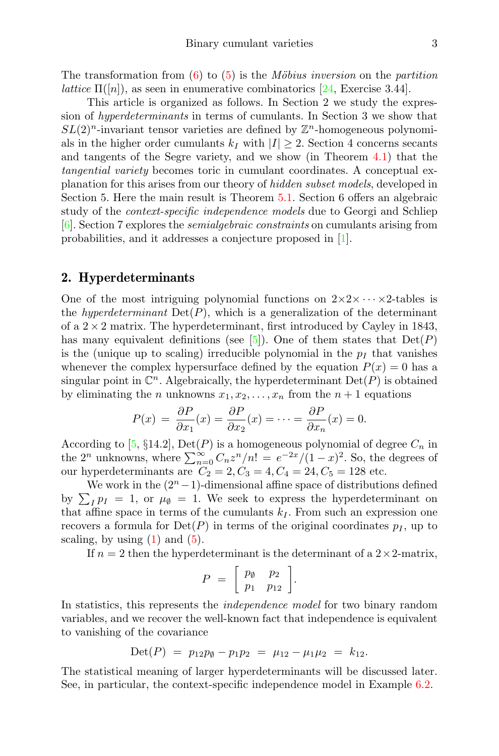This article is organized as follows. In Section 2 we study the expression of hyperdeterminants in terms of cumulants. In Section 3 we show that  $SL(2)^n$ -invariant tensor varieties are defined by  $\mathbb{Z}^n$ -homogeneous polynomials in the higher order cumulants  $k_I$  with  $|I| \geq 2$ . Section 4 concerns secants and tangents of the Segre variety, and we show (in Theorem [4.1\)](#page-8-0) that the tangential variety becomes toric in cumulant coordinates. A conceptual explanation for this arises from our theory of hidden subset models, developed in Section 5. Here the main result is Theorem [5.1.](#page-10-0) Section 6 offers an algebraic study of the context-specific independence models due to Georgi and Schliep [\[6\]](#page-19-4). Section 7 explores the semialgebraic constraints on cumulants arising from probabilities, and it addresses a conjecture proposed in [\[1\]](#page-19-2).

# 2. Hyperdeterminants

One of the most intriguing polynomial functions on  $2 \times 2 \times \cdots \times 2$ -tables is the *hyperdeterminant*  $Det(P)$ , which is a generalization of the determinant of a  $2 \times 2$  matrix. The hyperdeterminant, first introduced by Cayley in 1843, has many equivalent definitions (see [\[5\]](#page-19-5)). One of them states that  $Det(P)$ is the (unique up to scaling) irreducible polynomial in the  $p_I$  that vanishes whenever the complex hypersurface defined by the equation  $P(x) = 0$  has a singular point in  $\mathbb{C}^n$ . Algebraically, the hyperdeterminant  $\mathrm{Det}(P)$  is obtained by eliminating the *n* unknowns  $x_1, x_2, \ldots, x_n$  from the  $n + 1$  equations

$$
P(x) = \frac{\partial P}{\partial x_1}(x) = \frac{\partial P}{\partial x_2}(x) = \dots = \frac{\partial P}{\partial x_n}(x) = 0.
$$

According to [\[5,](#page-19-5) §14.2], Det(P) is a homogeneous polynomial of degree  $C_n$  in the  $2^n$  unknowns, where  $\sum_{n=0}^{\infty} C_n z^n/n! = e^{-2x}/(1-x)^2$ . So, the degrees of our hyperdeterminants are  $C_2 = 2, C_3 = 4, C_4 = 24, C_5 = 128$  etc.

We work in the  $(2<sup>n</sup> - 1)$ -dimensional affine space of distributions defined by  $\sum_{I} p_{I} = 1$ , or  $\mu_{\emptyset} = 1$ . We seek to express the hyperdeterminant on that affine space in terms of the cumulants  $k_I$ . From such an expression one recovers a formula for  $Det(P)$  in terms of the original coordinates  $p<sub>I</sub>$ , up to scaling, by using  $(1)$  and  $(5)$ .

If  $n = 2$  then the hyperdeterminant is the determinant of a  $2 \times 2$ -matrix,

$$
P = \left[ \begin{array}{cc} p_{\emptyset} & p_2 \\ p_1 & p_{12} \end{array} \right].
$$

In statistics, this represents the *independence model* for two binary random variables, and we recover the well-known fact that independence is equivalent to vanishing of the covariance

$$
Det(P) = p_{12}p_{\emptyset} - p_1p_2 = \mu_{12} - \mu_1\mu_2 = k_{12}.
$$

The statistical meaning of larger hyperdeterminants will be discussed later. See, in particular, the context-specific independence model in Example [6.2.](#page-14-0)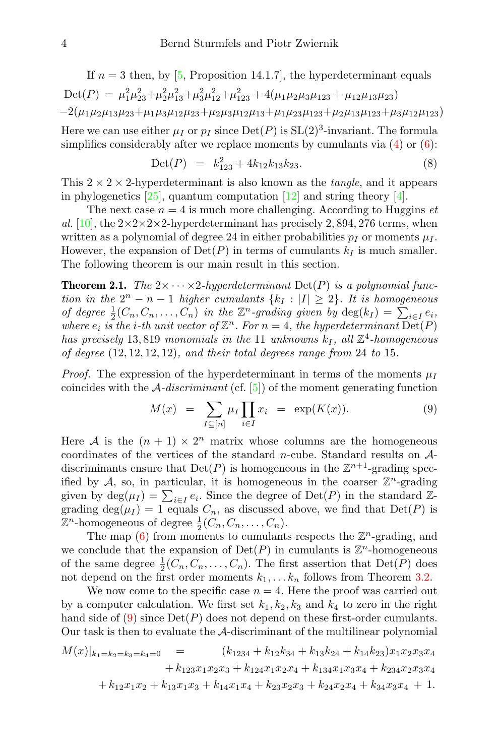If  $n = 3$  then, by [\[5,](#page-19-5) Proposition 14.1.7], the hyperdeterminant equals Det(P) =  $\mu_1^2 \mu_2^2 + \mu_2^2 \mu_1^2 + \mu_3^2 \mu_1^2 + \mu_1^2 \mu_2 + 4(\mu_1 \mu_2 \mu_3 \mu_{123} + \mu_{12} \mu_{13} \mu_{23})$  $-2(\mu_1\mu_2\mu_{13}\mu_{23}+\mu_1\mu_3\mu_{12}\mu_{23}+\mu_2\mu_3\mu_{12}\mu_{13}+\mu_1\mu_{23}\mu_{123}+\mu_2\mu_{13}\mu_{123}+\mu_3\mu_{12}\mu_{123})$ 

Here we can use either  $\mu_I$  or  $p_I$  since  $Det(P)$  is  $SL(2)^3$ -invariant. The formula simplifies considerably after we replace moments by cumulants via  $(4)$  or  $(6)$ :

$$
Det(P) = k_{123}^2 + 4k_{12}k_{13}k_{23}.
$$
 (8)

This  $2 \times 2 \times 2$ -hyperdeterminant is also known as the *tangle*, and it appears in phylogenetics [\[25\]](#page-20-7), quantum computation [\[12\]](#page-20-8) and string theory [\[4\]](#page-19-6).

The next case  $n = 4$  is much more challenging. According to Huggins *et* al. [\[10\]](#page-20-9), the  $2 \times 2 \times 2 \times 2$ -hyperdeterminant has precisely 2, 894, 276 terms, when written as a polynomial of degree 24 in either probabilities  $p_I$  or moments  $\mu_I$ . However, the expansion of  $Det(P)$  in terms of cumulants  $k_I$  is much smaller. The following theorem is our main result in this section.

<span id="page-3-1"></span>**Theorem 2.1.** The  $2 \times \cdots \times 2$ -hyperdeterminant  $Det(P)$  is a polynomial function in the  $2^n - n - 1$  higher cumulants  $\{k_I : |I| \geq 2\}$ . It is homogeneous of degree  $\frac{1}{2}(C_n, C_n, \ldots, C_n)$  in the  $\mathbb{Z}^n$ -grading given by  $\deg(k_I) = \sum_{i \in I} e_i$ , where  $e_i$  is the *i*-th unit vector of  $\mathbb{Z}^n$ . For  $n = 4$ , the hyperdeterminant  $\overline{\text{Det}}(P)$ has precisely 13,819 monomials in the 11 unknowns  $k_I$ , all  $\mathbb{Z}^4$ -homogeneous of degree (12, 12, 12, 12), and their total degrees range from 24 to 15.

*Proof.* The expression of the hyperdeterminant in terms of the moments  $\mu_I$ coincides with the  $\mathcal{A}-discriminant$  (cf. [\[5\]](#page-19-5)) of the moment generating function

<span id="page-3-0"></span>
$$
M(x) = \sum_{I \subseteq [n]} \mu_I \prod_{i \in I} x_i = \exp(K(x)). \tag{9}
$$

Here A is the  $(n + 1) \times 2^n$  matrix whose columns are the homogeneous coordinates of the vertices of the standard n-cube. Standard results on  $\mathcal{A}$ discriminants ensure that  $Det(P)$  is homogeneous in the  $\mathbb{Z}^{n+1}$ -grading specified by A, so, in particular, it is homogeneous in the coarser  $\mathbb{Z}^n$ -grading given by  $\deg(\mu_I) = \sum_{i \in I} e_i$ . Since the degree of  $\mathrm{Det}(P)$  in the standard  $\mathbb{Z}$ grading  $\deg(\mu_I) = 1$  equals  $C_n$ , as discussed above, we find that  $Det(P)$  is  $\mathbb{Z}^n$ -homogeneous of degree  $\frac{1}{2}(C_n, C_n, \ldots, C_n)$ .

The map  $(6)$  from moments to cumulants respects the  $\mathbb{Z}^n$ -grading, and we conclude that the expansion of  $Det(P)$  in cumulants is  $\mathbb{Z}^n$ -homogeneous of the same degree  $\frac{1}{2}(C_n, C_n, \ldots, C_n)$ . The first assertion that  $Det(P)$  does not depend on the first order moments  $k_1, \ldots, k_n$  follows from Theorem [3.2.](#page-5-0)

We now come to the specific case  $n = 4$ . Here the proof was carried out by a computer calculation. We first set  $k_1, k_2, k_3$  and  $k_4$  to zero in the right hand side of [\(9\)](#page-3-0) since  $Det(P)$  does not depend on these first-order cumulants. Our task is then to evaluate the A-discriminant of the multilinear polynomial

$$
M(x)|_{k_1=k_2=k_3=k_4=0} = (k_{1234} + k_{12}k_{34} + k_{13}k_{24} + k_{14}k_{23})x_1x_2x_3x_4
$$
  
+  $k_{123}x_1x_2x_3 + k_{124}x_1x_2x_4 + k_{134}x_1x_3x_4 + k_{234}x_2x_3x_4$   
+  $k_{12}x_1x_2 + k_{13}x_1x_3 + k_{14}x_1x_4 + k_{23}x_2x_3 + k_{24}x_2x_4 + k_{34}x_3x_4 + 1.$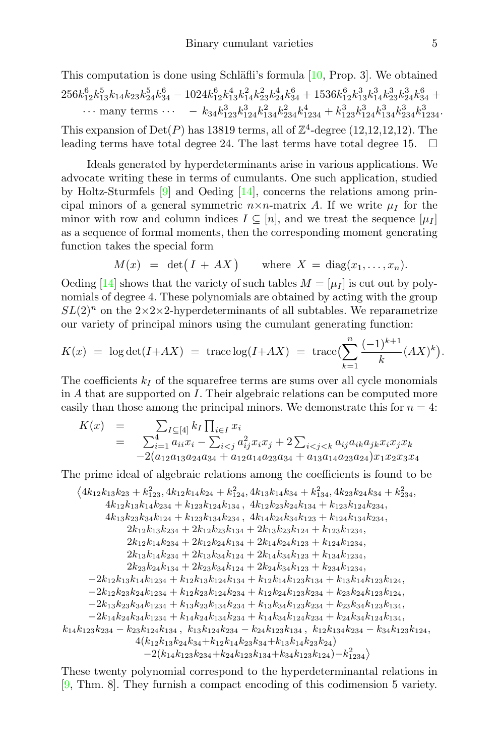This computation is done using Schläfli's formula  $[10, Prop. 3]$  $[10, Prop. 3]$ . We obtained  $256k_{12}^6k_{13}^5k_{14}k_{23}k_{24}^5k_{34}^6 - 1024k_{12}^6k_{13}^4k_{14}^2k_{23}^2k_{24}^4k_{34}^6 + 1536k_{12}^6k_{13}^3k_{14}^3k_{23}^3k_{24}^3k_{34}^6 +$  $\cdots$  many terms  $\cdots$   $-k_{34}k_{123}^3k_{124}^3k_{134}^2k_{234}^2k_{1234}^4 + k_{123}^3k_{124}^3k_{134}^3k_{234}^3k_{1234}^3$ . This expansion of  $Det(P)$  has 13819 terms, all of  $\mathbb{Z}^4$ -degree (12,12,12,12). The leading terms have total degree 24. The last terms have total degree 15.

Ideals generated by hyperdeterminants arise in various applications. We advocate writing these in terms of cumulants. One such application, studied by Holtz-Sturmfels  $[9]$  and Oeding  $[14]$ , concerns the relations among principal minors of a general symmetric  $n \times n$ -matrix A. If we write  $\mu_I$  for the minor with row and column indices  $I \subseteq [n]$ , and we treat the sequence  $[\mu_I]$ as a sequence of formal moments, then the corresponding moment generating function takes the special form

$$
M(x) = \det(I + AX) \quad \text{where } X = \text{diag}(x_1, \dots, x_n).
$$

Oeding [\[14\]](#page-20-11) shows that the variety of such tables  $M = [\mu_I]$  is cut out by polynomials of degree 4. These polynomials are obtained by acting with the group  $SL(2)^n$  on the  $2\times 2\times 2$ -hyperdeterminants of all subtables. We reparametrize our variety of principal minors using the cumulant generating function:

$$
K(x) = \log \det(I + AX) = \operatorname{trace} \log(I + AX) = \operatorname{trace} (\sum_{k=1}^{n} \frac{(-1)^{k+1}}{k} (AX)^{k}).
$$

The coefficients  $k_I$  of the squarefree terms are sums over all cycle monomials in A that are supported on I. Their algebraic relations can be computed more easily than those among the principal minors. We demonstrate this for  $n = 4$ :

$$
K(x) = \sum_{i=1}^{4} a_{ii} x_i - \sum_{i < j} a_{ij}^2 x_i x_j + 2 \sum_{i < j < k} a_{ij} a_{ik} a_{jk} x_i x_j x_k
$$
  
-2(a\_{12}a\_{13}a\_{24}a\_{34} + a\_{12}a\_{14}a\_{23}a\_{34} + a\_{13}a\_{14}a\_{23}a\_{24}) x\_1 x\_2 x\_3 x\_4

The prime ideal of algebraic relations among the coefficients is found to be

$$
\langle 4k_{12}k_{13}k_{23}+k_{12}^2, 4k_{12}k_{14}k_{24}+k_{124}^2, 4k_{13}k_{14}k_{34}+k_{134}^2, 4k_{23}k_{24}k_{34}+k_{234}^2,\\ 4k_{12}k_{13}k_{14}k_{234}+k_{123}k_{124}k_{134},\ 4k_{12}k_{23}k_{24}k_{134}+k_{123}k_{124}k_{234},\\ 4k_{13}k_{23}k_{34}k_{124}+k_{123}k_{134}k_{234},\ 4k_{14}k_{24}k_{34}k_{123}+k_{124}k_{134}k_{234},\\ 2k_{12}k_{13}k_{234}+2k_{12}k_{23}k_{134}+2k_{13}k_{23}k_{124}+k_{123}k_{1234},\\ 2k_{12}k_{14}k_{234}+2k_{12}k_{24}k_{134}+2k_{14}k_{24}k_{123}+k_{124}k_{1234},\\ 2k_{13}k_{14}k_{234}+2k_{13}k_{34}k_{124}+2k_{14}k_{34}k_{123}+k_{134}k_{1234},\\ 2k_{23}k_{24}k_{134}+2k_{23}k_{34}k_{124}+2k_{24}k_{34}k_{123}+k_{34}k_{1234},\\ -2k_{12}k_{13}k_{14}k_{1234}+k_{12}k_{13}k_{124}k_{134}+k_{12}k_{14}k_{123}k_{134}+k_{13}k_{14}k_{123}k_{124},\\ -2k_{12}k_{23}k_{24}k_{1234}+k_{12}k_{23}k_{124}k_{34}+k_{12}k_{24}k_{123}k_{234}+k_{23}k_{24}k_{123}k_{124},\\ -2k_{13}k_{23}k_{34
$$

These twenty polynomial correspond to the hyperdeterminantal relations in [\[9,](#page-20-10) Thm. 8]. They furnish a compact encoding of this codimension 5 variety.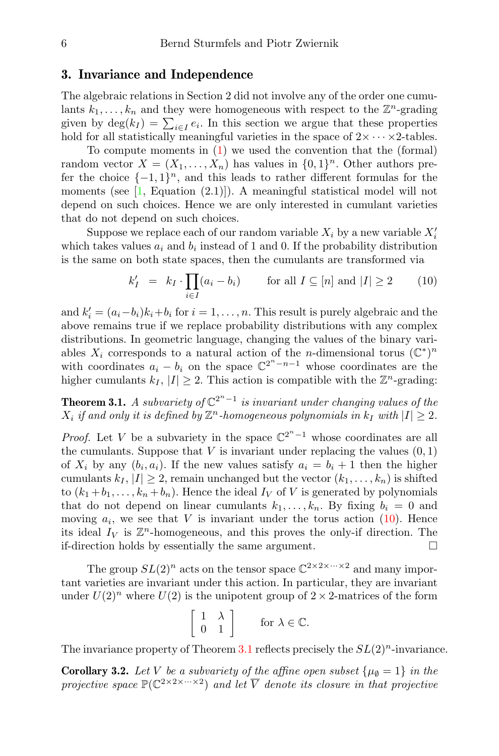### 3. Invariance and Independence

The algebraic relations in Section 2 did not involve any of the order one cumulants  $k_1, \ldots, k_n$  and they were homogeneous with respect to the  $\mathbb{Z}^n$ -grading given by  $\deg(k_I) = \sum_{i \in I} e_i$ . In this section we argue that these properties hold for all statistically meaningful varieties in the space of  $2 \times \cdots \times 2$ -tables.

To compute moments in [\(1\)](#page-1-4) we used the convention that the (formal) random vector  $X = (X_1, \ldots, X_n)$  has values in  $\{0,1\}^n$ . Other authors prefer the choice  $\{-1,1\}^n$ , and this leads to rather different formulas for the moments (see  $[1,$  Equation  $(2.1)]$ ). A meaningful statistical model will not depend on such choices. Hence we are only interested in cumulant varieties that do not depend on such choices.

Suppose we replace each of our random variable  $X_i$  by a new variable  $X_i'$ which takes values  $a_i$  and  $b_i$  instead of 1 and 0. If the probability distribution is the same on both state spaces, then the cumulants are transformed via

<span id="page-5-1"></span>
$$
k'_I = k_I \cdot \prod_{i \in I} (a_i - b_i) \quad \text{for all } I \subseteq [n] \text{ and } |I| \ge 2 \quad (10)
$$

and  $k'_{i} = (a_{i} - b_{i})k_{i} + b_{i}$  for  $i = 1, ..., n$ . This result is purely algebraic and the above remains true if we replace probability distributions with any complex distributions. In geometric language, changing the values of the binary variables  $X_i$  corresponds to a natural action of the *n*-dimensional torus  $(\mathbb{C}^*)^n$ with coordinates  $a_i - b_i$  on the space  $\mathbb{C}^{2^n - n - 1}$  whose coordinates are the higher cumulants  $k_I$ ,  $|I| \geq 2$ . This action is compatible with the  $\mathbb{Z}^n$ -grading:

<span id="page-5-2"></span>**Theorem 3.1.** A subvariety of  $\mathbb{C}^{2^n-1}$  is invariant under changing values of the  $X_i$  if and only it is defined by  $\mathbb{Z}^n$ -homogeneous polynomials in  $k_I$  with  $|I|\geq 2$ .

*Proof.* Let V be a subvariety in the space  $\mathbb{C}^{2^{n}-1}$  whose coordinates are all the cumulants. Suppose that  $V$  is invariant under replacing the values  $(0, 1)$ of  $X_i$  by any  $(b_i, a_i)$ . If the new values satisfy  $a_i = b_i + 1$  then the higher cumulants  $k_I, |I| \geq 2$ , remain unchanged but the vector  $(k_1, \ldots, k_n)$  is shifted to  $(k_1 + b_1, \ldots, k_n + b_n)$ . Hence the ideal  $I_V$  of V is generated by polynomials that do not depend on linear cumulants  $k_1, \ldots, k_n$ . By fixing  $b_i = 0$  and moving  $a_i$ , we see that V is invariant under the torus action [\(10\)](#page-5-1). Hence its ideal  $I_V$  is  $\mathbb{Z}^n$ -homogeneous, and this proves the only-if direction. The if-direction holds by essentially the same argument.

The group  $SL(2)^n$  acts on the tensor space  $\mathbb{C}^{2 \times 2 \times \cdots \times 2}$  and many important varieties are invariant under this action. In particular, they are invariant under  $U(2)^n$  where  $U(2)$  is the unipotent group of  $2 \times 2$ -matrices of the form

$$
\left[\begin{array}{cc} 1 & \lambda \\ 0 & 1 \end{array}\right] \qquad \text{for } \lambda \in \mathbb{C}.
$$

The invariance property of Theorem [3.1](#page-5-2) reflects precisely the  $SL(2)^n$ -invariance.

<span id="page-5-0"></span>**Corollary 3.2.** Let V be a subvariety of the affine open subset  $\{\mu_{\emptyset} = 1\}$  in the projective space  $\mathbb{P}(\mathbb{C}^{2\times 2\times \cdots \times 2})$  and let  $\overline{V}$  denote its closure in that projective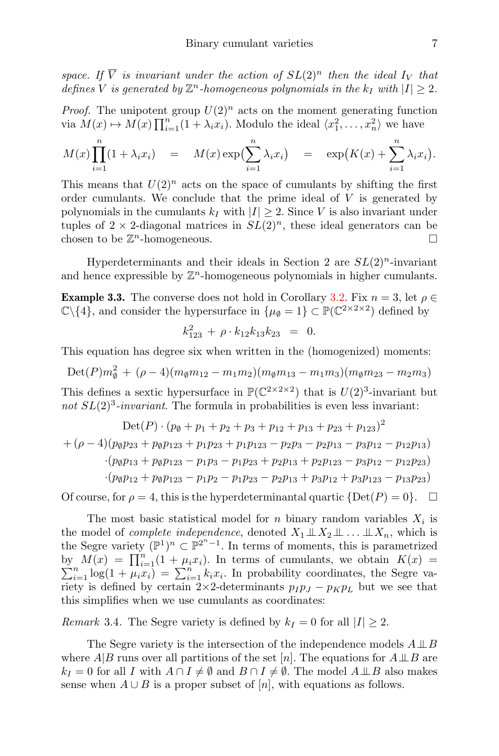space. If  $\overline{V}$  is invariant under the action of  $SL(2)^n$  then the ideal  $I_V$  that defines V is generated by  $\mathbb{Z}^n$ -homogeneous polynomials in the  $k_I$  with  $|I|\geq 2$ .

*Proof.* The unipotent group  $U(2)^n$  acts on the moment generating function via  $M(x) \mapsto M(x) \prod_{i=1}^n (1 + \lambda_i x_i)$ . Modulo the ideal  $\langle x_1^2, \ldots, x_n^2 \rangle$  we have

$$
M(x)\prod_{i=1}^{n}(1+\lambda_i x_i) = M(x)\exp\left(\sum_{i=1}^{n}\lambda_i x_i\right) = \exp\left(K(x) + \sum_{i=1}^{n}\lambda_i x_i\right).
$$

This means that  $U(2)^n$  acts on the space of cumulants by shifting the first order cumulants. We conclude that the prime ideal of  $V$  is generated by polynomials in the cumulants  $k_I$  with  $|I| \geq 2$ . Since V is also invariant under tuples of  $2 \times 2$ -diagonal matrices in  $SL(2)^n$ , these ideal generators can be chosen to be  $\mathbb{Z}^n$ -homogeneous.

Hyperdeterminants and their ideals in Section 2 are  $SL(2)^n$ -invariant and hence expressible by  $\mathbb{Z}^n$ -homogeneous polynomials in higher cumulants.

**Example 3.3.** The converse does not hold in Corollary [3.2.](#page-5-0) Fix  $n = 3$ , let  $\rho \in$  $\mathbb{C}\backslash\{4\}$ , and consider the hypersurface in  $\{\mu_{\emptyset} = 1\} \subset \mathbb{P}(\mathbb{C}^{2\times 2\times 2})$  defined by

$$
k_{123}^2 + \rho \cdot k_{12} k_{13} k_{23} = 0.
$$

This equation has degree six when written in the (homogenized) moments:

$$
Det(P)m_{\emptyset}^2 + (\rho - 4)(m_{\emptyset}m_{12} - m_1m_2)(m_{\emptyset}m_{13} - m_1m_3)(m_{\emptyset}m_{23} - m_2m_3)
$$

This defines a sextic hypersurface in  $\mathbb{P}(\mathbb{C}^{2 \times 2 \times 2})$  that is  $U(2)^3$ -invariant but not  $SL(2)^3$ -invariant. The formula in probabilities is even less invariant:

$$
Det(P) \cdot (p_{\emptyset} + p_1 + p_2 + p_3 + p_{12} + p_{13} + p_{23} + p_{123})^2
$$
  
+  $(\rho - 4)(p_{\emptyset}p_{23} + p_{\emptyset}p_{123} + p_1p_{23} + p_1p_{123} - p_2p_3 - p_2p_{13} - p_3p_{12} - p_1p_{23})$   
 $\cdot (p_{\emptyset}p_{13} + p_{\emptyset}p_{123} - p_1p_3 - p_1p_{23} + p_2p_{13} + p_2p_{123} - p_3p_{12} - p_1p_{23})$   
 $\cdot (p_{\emptyset}p_{12} + p_{\emptyset}p_{123} - p_1p_2 - p_1p_{23} - p_2p_{13} + p_3p_{12} + p_3p_{123} - p_{13}p_{23})$ 

Of course, for  $\rho = 4$ , this is the hyperdeterminantal quartic  $\{Det(P) = 0\}$ .

The most basic statistical model for *n* binary random variables  $X_i$  is the model of *complete independence*, denoted  $X_1 \perp\!\!\!\perp X_2 \perp\!\!\!\perp ... \perp\!\!\!\perp X_n$ , which is the Segre variety  $(\mathbb{P}^1)^n \subset \mathbb{P}^{2^n-1}$ . In terms of moments, this is parametrized by  $M(x) = \prod_{i=1}^{n} (1 + \mu_i x_i)$ . In terms of cumulants, we obtain  $K(x) =$  $\sum_{i=1}^{n} \log(1 + \mu_i x_i) = \sum_{i=1}^{n} k_i x_i$ . In probability coordinates, the Segre variety is defined by certain 2×2-determinants  $p_I p_J - p_K p_L$  but we see that this simplifies when we use cumulants as coordinates:

<span id="page-6-0"></span>Remark 3.4. The Segre variety is defined by  $k_I = 0$  for all  $|I| \geq 2$ .

The Segre variety is the intersection of the independence models  $A \perp\!\!\!\perp B$ where  $A|B$  runs over all partitions of the set [n]. The equations for  $A \perp B$  are  $k_I = 0$  for all I with  $A \cap I \neq \emptyset$  and  $B \cap I \neq \emptyset$ . The model  $A \perp \!\!\! \perp B$  also makes sense when  $A \cup B$  is a proper subset of [n], with equations as follows.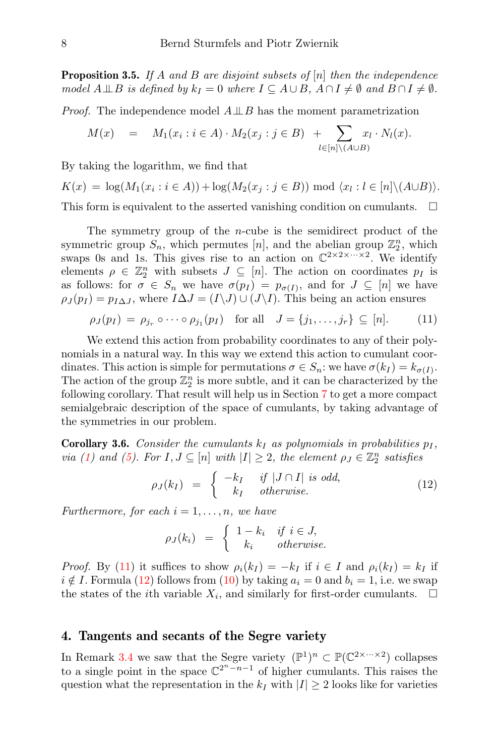**Proposition 3.5.** If A and B are disjoint subsets of  $[n]$  then the independence model  $A \perp\!\!\!\perp B$  is defined by  $k_I = 0$  where  $I \subseteq A \cup B$ ,  $A \cap I \neq \emptyset$  and  $B \cap I \neq \emptyset$ .

*Proof.* The independence model  $A \perp\!\!\!\perp B$  has the moment parametrization

$$
M(x) = M_1(x_i : i \in A) \cdot M_2(x_j : j \in B) + \sum_{l \in [n] \setminus (A \cup B)} x_l \cdot N_l(x).
$$

By taking the logarithm, we find that

 $K(x) = \log(M_1(x_i : i \in A)) + \log(M_2(x_j : j \in B)) \mod \langle x_i : l \in [n] \setminus (A \cup B) \rangle.$ 

This form is equivalent to the asserted vanishing condition on cumulants.  $\square$ 

The symmetry group of the n-cube is the semidirect product of the symmetric group  $S_n$ , which permutes [n], and the abelian group  $\mathbb{Z}_2^n$ , which swaps 0s and 1s. This gives rise to an action on  $\mathbb{C}^{2 \times 2 \times \cdots \times 2}$ . We identify elements  $\rho \in \mathbb{Z}_2^n$  with subsets  $J \subseteq [n]$ . The action on coordinates  $p_I$  is as follows: for  $\sigma \in S_n$  we have  $\sigma(p_I) = p_{\sigma(I)}$ , and for  $J \subseteq [n]$  we have  $\rho_J(p_I) = p_{I\Delta J}$ , where  $I\Delta J = (I\backslash J) \cup (J\backslash I)$ . This being an action ensures

<span id="page-7-0"></span>
$$
\rho_J(p_I) = \rho_{j_r} \circ \cdots \circ \rho_{j_1}(p_I) \quad \text{for all} \quad J = \{j_1, \ldots, j_r\} \subseteq [n]. \tag{11}
$$

We extend this action from probability coordinates to any of their polynomials in a natural way. In this way we extend this action to cumulant coordinates. This action is simple for permutations  $\sigma \in S_n$ : we have  $\sigma(k_I) = k_{\sigma(I)}$ . The action of the group  $\mathbb{Z}_2^n$  is more subtle, and it can be characterized by the following corollary. That result will help us in Section [7](#page-16-0) to get a more compact semialgebraic description of the space of cumulants, by taking advantage of the symmetries in our problem.

<span id="page-7-2"></span>**Corollary 3.6.** Consider the cumulants  $k_I$  as polynomials in probabilities  $p_I$ , via [\(1\)](#page-1-4) and [\(5\)](#page-1-3). For  $I, J \subseteq [n]$  with  $|I| \geq 2$ , the element  $\rho_J \in \mathbb{Z}_2^n$  satisfies

<span id="page-7-1"></span>
$$
\rho_J(k_I) = \begin{cases}\n-k_I & \text{if } |J \cap I| \text{ is odd,} \\
k_I & \text{otherwise.} \n\end{cases} (12)
$$

Furthermore, for each  $i = 1, \ldots, n$ , we have

$$
\rho_J(k_i) = \begin{cases} 1 - k_i & \text{if } i \in J, \\ k_i & \text{otherwise.} \end{cases}
$$

*Proof.* By [\(11\)](#page-7-0) it suffices to show  $\rho_i(k_I) = -k_I$  if  $i \in I$  and  $\rho_i(k_I) = k_I$  if  $i \notin I$ . Formula [\(12\)](#page-7-1) follows from [\(10\)](#page-5-1) by taking  $a_i = 0$  and  $b_i = 1$ , i.e. we swap the states of the *i*th variable  $X_i$ , and similarly for first-order cumulants.  $\Box$ 

#### 4. Tangents and secants of the Segre variety

In Remark [3.4](#page-6-0) we saw that the Segre variety  $(\mathbb{P}^1)^n \subset \mathbb{P}(\mathbb{C}^{2 \times \cdots \times 2})$  collapses to a single point in the space  $\mathbb{C}^{2^n-n-1}$  of higher cumulants. This raises the question what the representation in the  $k_I$  with  $|I| \geq 2$  looks like for varieties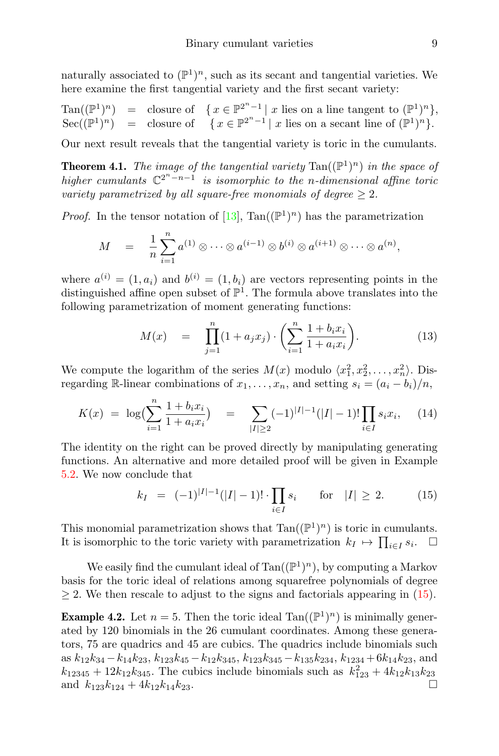naturally associated to  $(\mathbb{P}^1)^n$ , such as its secant and tangential varieties. We here examine the first tangential variety and the first secant variety:

Tan(
$$
(\mathbb{P}^1)^n
$$
) = closure of  $\{ x \in \mathbb{P}^{2^n-1} | x \text{ lies on a line tangent to } (\mathbb{P}^1)^n \}$ ,  
Sec( $(\mathbb{P}^1)^n$ ) = closure of  $\{ x \in \mathbb{P}^{2^n-1} | x \text{ lies on a secant line of } (\mathbb{P}^1)^n \}$ .

Our next result reveals that the tangential variety is toric in the cumulants.

<span id="page-8-0"></span>**Theorem 4.1.** The image of the tangential variety  $\text{Tan}((\mathbb{P}^1)^n)$  in the space of higher cumulants  $\mathbb{C}^{2^n-n-1}$  is isomorphic to the n-dimensional affine toric variety parametrized by all square-free monomials of degree  $\geq 2$ .

*Proof.* In the tensor notation of [\[13\]](#page-20-12), Tan( $(\mathbb{P}^1)^n$ ) has the parametrization

$$
M = \frac{1}{n} \sum_{i=1}^{n} a^{(1)} \otimes \cdots \otimes a^{(i-1)} \otimes b^{(i)} \otimes a^{(i+1)} \otimes \cdots \otimes a^{(n)},
$$

where  $a^{(i)} = (1, a_i)$  and  $b^{(i)} = (1, b_i)$  are vectors representing points in the distinguished affine open subset of  $\mathbb{P}^1$ . The formula above translates into the following parametrization of moment generating functions:

<span id="page-8-2"></span>
$$
M(x) = \prod_{j=1}^{n} (1 + a_j x_j) \cdot \left( \sum_{i=1}^{n} \frac{1 + b_i x_i}{1 + a_i x_i} \right).
$$
 (13)

We compute the logarithm of the series  $M(x)$  modulo  $\langle x_1^2, x_2^2, \ldots, x_n^2 \rangle$ . Disregarding R-linear combinations of  $x_1, \ldots, x_n$ , and setting  $s_i = (a_i - b_i)/n$ ,

$$
K(x) = \log\left(\sum_{i=1}^{n} \frac{1 + b_i x_i}{1 + a_i x_i}\right) = \sum_{|I| \ge 2} (-1)^{|I|-1} (|I| - 1)! \prod_{i \in I} s_i x_i, \quad (14)
$$

The identity on the right can be proved directly by manipulating generating functions. An alternative and more detailed proof will be given in Example [5.2.](#page-11-0) We now conclude that

<span id="page-8-1"></span>
$$
k_I = (-1)^{|I|-1}(|I|-1)! \cdot \prod_{i \in I} s_i \quad \text{for} \quad |I| \ge 2. \tag{15}
$$

This monomial parametrization shows that  $Tan((\mathbb{P}^1)^n)$  is toric in cumulants. It is isomorphic to the toric variety with parametrization  $k_I \mapsto \prod_{i \in I} s_i$ .  $\Box$ 

We easily find the cumulant ideal of  $\text{Tan}((\mathbb{P}^1)^n)$ , by computing a Markov basis for the toric ideal of relations among squarefree polynomials of degree  $\geq$  2. We then rescale to adjust to the signs and factorials appearing in [\(15\)](#page-8-1).

**Example 4.2.** Let  $n = 5$ . Then the toric ideal Tan( $(\mathbb{P}^1)^n$ ) is minimally generated by 120 binomials in the 26 cumulant coordinates. Among these generators, 75 are quadrics and 45 are cubics. The quadrics include binomials such as  $k_{12}k_{34} - k_{14}k_{23}$ ,  $k_{123}k_{45} - k_{12}k_{345}$ ,  $k_{123}k_{345} - k_{135}k_{234}$ ,  $k_{1234} + 6k_{14}k_{23}$ , and  $k_{12345} + 12k_{12}k_{345}$ . The cubics include binomials such as  $k_{123}^2 + 4k_{12}k_{13}k_{23}$ and  $k_{123}k_{124} + 4k_{12}k_{14}k_{23}$ .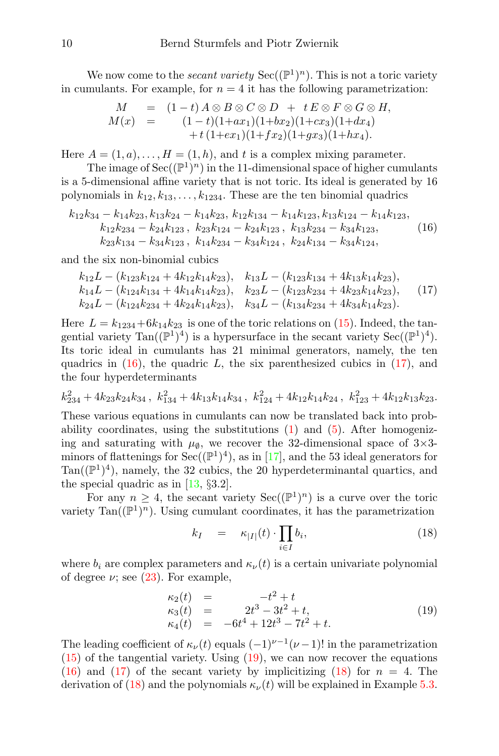We now come to the *secant variety*  $\text{Sec}((\mathbb{P}^1)^n)$ . This is not a toric variety in cumulants. For example, for  $n = 4$  it has the following parametrization:

$$
M = (1-t) A \otimes B \otimes C \otimes D + t E \otimes F \otimes G \otimes H,
$$
  
\n
$$
M(x) = (1-t)(1+ax_1)(1+bx_2)(1+cx_3)(1+dx_4) + t(1+cx_1)(1+fx_2)(1+gx_3)(1+hx_4).
$$

Here  $A = (1, a), \ldots, H = (1, h)$ , and t is a complex mixing parameter.

The image of  $\text{Sec}((\mathbb{P}^1)^n)$  in the 11-dimensional space of higher cumulants is a 5-dimensional affine variety that is not toric. Its ideal is generated by 16 polynomials in  $k_{12}, k_{13}, \ldots, k_{1234}$ . These are the ten binomial quadrics

<span id="page-9-0"></span>
$$
k_{12}k_{34} - k_{14}k_{23}, k_{13}k_{24} - k_{14}k_{23}, k_{12}k_{134} - k_{14}k_{123}, k_{13}k_{124} - k_{14}k_{123},
$$
  
\n
$$
k_{12}k_{234} - k_{24}k_{123}, k_{23}k_{124} - k_{24}k_{123}, k_{13}k_{234} - k_{34}k_{123},
$$
  
\n
$$
k_{23}k_{134} - k_{34}k_{123}, k_{14}k_{234} - k_{34}k_{124}, k_{24}k_{134} - k_{34}k_{124},
$$
  
\n(16)

and the six non-binomial cubics

<span id="page-9-1"></span>
$$
k_{12}L - (k_{123}k_{124} + 4k_{12}k_{14}k_{23}), \quad k_{13}L - (k_{123}k_{134} + 4k_{13}k_{14}k_{23}),
$$
  
\n
$$
k_{14}L - (k_{124}k_{134} + 4k_{14}k_{14}k_{23}), \quad k_{23}L - (k_{123}k_{234} + 4k_{23}k_{14}k_{23}),
$$
  
\n
$$
k_{24}L - (k_{124}k_{234} + 4k_{24}k_{14}k_{23}), \quad k_{34}L - (k_{134}k_{234} + 4k_{34}k_{14}k_{23}).
$$
\n(17)

Here  $L = k_{1234} + 6k_{14}k_{23}$  is one of the toric relations on [\(15\)](#page-8-1). Indeed, the tangential variety  $\text{Tan}((\mathbb{P}^1)^4)$  is a hypersurface in the secant variety  $\text{Sec}((\mathbb{P}^1)^4)$ . Its toric ideal in cumulants has 21 minimal generators, namely, the ten quadrics in  $(16)$ , the quadric L, the six parenthesized cubics in  $(17)$ , and the four hyperdeterminants

$$
k_{234}^2 + 4k_{23}k_{24}k_{34}
$$
,  $k_{134}^2 + 4k_{13}k_{14}k_{34}$ ,  $k_{124}^2 + 4k_{12}k_{14}k_{24}$ ,  $k_{123}^2 + 4k_{12}k_{13}k_{23}$ .

These various equations in cumulants can now be translated back into probability coordinates, using the substitutions  $(1)$  and  $(5)$ . After homogenizing and saturating with  $\mu_{\emptyset}$ , we recover the 32-dimensional space of 3×3minors of flattenings for  $Sec((\mathbb{P}^1)^4)$ , as in [\[17\]](#page-20-13), and the 53 ideal generators for Tan( $(\mathbb{P}^1)^4$ ), namely, the 32 cubics, the 20 hyperdeterminantal quartics, and the special quadric as in [\[13,](#page-20-12) §3.2].

For any  $n \geq 4$ , the secant variety  $\text{Sec}((\mathbb{P}^1)^n)$  is a curve over the toric variety  $\text{Tan}((\mathbb{P}^1)^n)$ . Using cumulant coordinates, it has the parametrization

<span id="page-9-3"></span>
$$
k_I = \kappa_{|I|}(t) \cdot \prod_{i \in I} b_i, \tag{18}
$$

where  $b_i$  are complex parameters and  $\kappa_{\nu}(t)$  is a certain univariate polynomial of degree  $\nu$ ; see [\(23\)](#page-11-1). For example,

<span id="page-9-2"></span>
$$
\begin{array}{rcl}\n\kappa_2(t) & = & -t^2 + t \\
\kappa_3(t) & = & 2t^3 - 3t^2 + t, \\
\kappa_4(t) & = & -6t^4 + 12t^3 - 7t^2 + t.\n\end{array} \tag{19}
$$

The leading coefficient of  $\kappa_{\nu}(t)$  equals  $(-1)^{\nu-1}(\nu-1)!$  in the parametrization  $(15)$  of the tangential variety. Using  $(19)$ , we can now recover the equations  $(16)$  and  $(17)$  of the secant variety by implicitizing  $(18)$  for  $n = 4$ . The derivation of [\(18\)](#page-9-3) and the polynomials  $\kappa_{\nu}(t)$  will be explained in Example [5.3.](#page-11-2)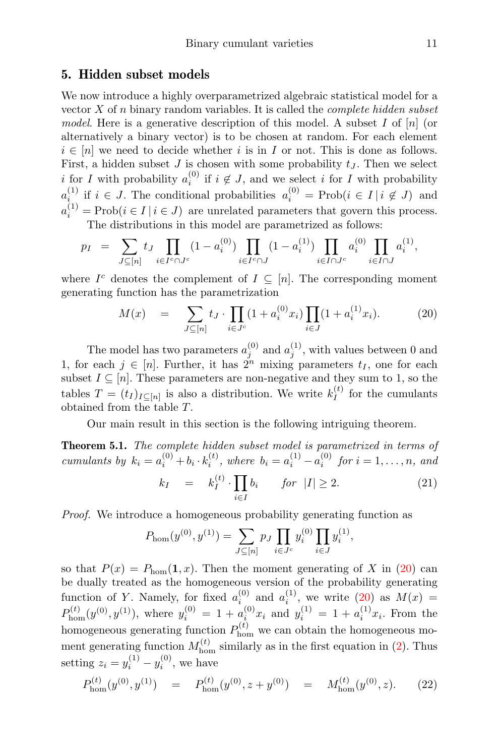#### 5. Hidden subset models

We now introduce a highly overparametrized algebraic statistical model for a vector  $X$  of n binary random variables. It is called the *complete hidden subset* model. Here is a generative description of this model. A subset  $I$  of  $[n]$  (or alternatively a binary vector) is to be chosen at random. For each element  $i \in [n]$  we need to decide whether i is in I or not. This is done as follows. First, a hidden subset  $J$  is chosen with some probability  $t<sub>J</sub>$ . Then we select i for I with probability  $a_i^{(0)}$  if  $i \notin J$ , and we select i for I with probability  $a_{i}^{(1)}$  if  $i \in J$ . The conditional probabilities  $a_i^{(0)} = \text{Prob}(i \in I | i \notin J)$  and  $a_i^{(1)} = \text{Prob}(i \in I \mid i \in J)$  are unrelated parameters that govern this process.

The distributions in this model are parametrized as follows:

$$
p_I = \sum_{J \subseteq [n]} t_J \prod_{i \in I^c \cap J^c} (1 - a_i^{(0)}) \prod_{i \in I^c \cap J} (1 - a_i^{(1)}) \prod_{i \in I \cap J^c} a_i^{(0)} \prod_{i \in I \cap J} a_i^{(1)},
$$

where  $I^c$  denotes the complement of  $I \subseteq [n]$ . The corresponding moment generating function has the parametrization

<span id="page-10-1"></span>
$$
M(x) = \sum_{J \subseteq [n]} t_J \cdot \prod_{i \in J^c} (1 + a_i^{(0)} x_i) \prod_{i \in J} (1 + a_i^{(1)} x_i). \tag{20}
$$

The model has two parameters  $a_j^{(0)}$  and  $a_j^{(1)}$ , with values between 0 and 1, for each  $j \in [n]$ . Further, it has  $2^n$  mixing parameters  $t_I$ , one for each subset  $I \subseteq [n]$ . These parameters are non-negative and they sum to 1, so the tables  $T = (t_I)_{I \subseteq [n]}$  is also a distribution. We write  $k_I^{(t)}$  $I_I^{(t)}$  for the cumulants obtained from the table T.

Our main result in this section is the following intriguing theorem.

<span id="page-10-0"></span>**Theorem 5.1.** The complete hidden subset model is parametrized in terms of cumulants by  $k_i = a_i^{(0)} + b_i \cdot k_i^{(t)}$ , where  $b_i = a_i^{(1)} - a_i^{(0)}$  for  $i = 1, ..., n$ , and  $k_I = k_I^{(t)}$  $I^{(t)}\cdot\prod$ i∈I  $b_i$  for  $|I| \geq 2$ . (21)

Proof. We introduce a homogeneous probability generating function as

<span id="page-10-2"></span>
$$
P_{\text{hom}}(y^{(0)}, y^{(1)}) = \sum_{J \subseteq [n]} p_J \prod_{i \in J^c} y_i^{(0)} \prod_{i \in J} y_i^{(1)},
$$

so that  $P(x) = P_{\text{hom}}(1, x)$ . Then the moment generating of X in [\(20\)](#page-10-1) can be dually treated as the homogeneous version of the probability generating function of Y. Namely, for fixed  $a_i^{(0)}$  and  $a_i^{(1)}$ , we write [\(20\)](#page-10-1) as  $M(x)$  =  $P_{\text{hom}}^{(t)}(y^{(0)}, y^{(1)})$ , where  $y_i^{(0)} = 1 + a_i^{(0)}x_i$  and  $y_i^{(1)} = 1 + a_i^{(1)}x_i$ . From the homogeneous generating function  $P_{\text{hom}}^{(t)}$  we can obtain the homogeneous moment generating function  $M_{\text{hom}}^{(t)}$  similarly as in the first equation in [\(2\)](#page-1-5). Thus setting  $z_i = y_i^{(1)} - y_i^{(0)}$ , we have

$$
P_{\text{hom}}^{(t)}(y^{(0)}, y^{(1)}) = P_{\text{hom}}^{(t)}(y^{(0)}, z + y^{(0)}) = M_{\text{hom}}^{(t)}(y^{(0)}, z). \tag{22}
$$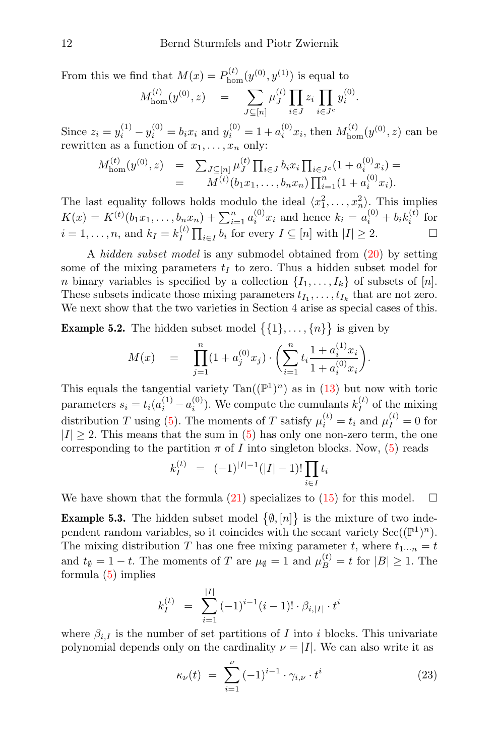From this we find that  $M(x) = P_{\text{hom}}^{(t)}(y^{(0)}, y^{(1)})$  is equal to

$$
M_{\text{hom}}^{(t)}(y^{(0)}, z) = \sum_{J \subseteq [n]} \mu_J^{(t)} \prod_{i \in J} z_i \prod_{i \in J^c} y_i^{(0)}.
$$

Since  $z_i = y_i^{(1)} - y_i^{(0)} = b_i x_i$  and  $y_i^{(0)} = 1 + a_i^{(0)} x_i$ , then  $M_{\text{hom}}^{(t)}(y^{(0)}, z)$  can be rewritten as a function of  $x_1, \ldots, x_n$  only:

$$
M_{\text{hom}}^{(t)}(y^{(0)}, z) = \sum_{J \subseteq [n]} \mu_J^{(t)} \prod_{i \in J} b_i x_i \prod_{i \in J^c} (1 + a_i^{(0)} x_i) =
$$
  
= 
$$
M^{(t)}(b_1 x_1, \dots, b_n x_n) \prod_{i=1}^n (1 + a_i^{(0)} x_i).
$$

The last equality follows holds modulo the ideal  $\langle x_1^2, \ldots, x_n^2 \rangle$ . This implies  $K(x) = K^{(t)}(b_1x_1, \ldots, b_nx_n) + \sum_{i=1}^n a_i^{(0)}x_i$  and hence  $k_i = a_i^{(0)} + b_ik_i^{(t)}$  for  $i = 1, \ldots, n$ , and  $k_I = k_I^{(t)}$  $\prod_{i\in I} b_i$  for every  $I \subseteq [n]$  with  $|I| \geq 2$ .

A hidden subset model is any submodel obtained from [\(20\)](#page-10-1) by setting some of the mixing parameters  $t_I$  to zero. Thus a hidden subset model for *n* binary variables is specified by a collection  $\{I_1, \ldots, I_k\}$  of subsets of [*n*]. These subsets indicate those mixing parameters  $t_{I_1}, \ldots, t_{I_k}$  that are not zero. We next show that the two varieties in Section 4 arise as special cases of this.

<span id="page-11-0"></span>**Example 5.2.** The hidden subset model  $\{\{1\}, \ldots, \{n\}\}\$ is given by

$$
M(x) = \prod_{j=1}^{n} (1 + a_j^{(0)} x_j) \cdot \left( \sum_{i=1}^{n} t_i \frac{1 + a_i^{(1)} x_i}{1 + a_i^{(0)} x_i} \right).
$$

This equals the tangential variety  $Tan((\mathbb{P}^1)^n)$  as in  $(13)$  but now with toric parameters  $s_i = t_i(a_i^{(1)} - a_i^{(0)})$ . We compute the cumulants  $k_I^{(t)}$  $I_I^{(\iota)}$  of the mixing distribution T using [\(5\)](#page-1-3). The moments of T satisfy  $\mu_i^{(t)} = t_i$  and  $\mu_I^{(t)} = 0$  for  $|I| \geq 2$ . This means that the sum in [\(5\)](#page-1-3) has only one non-zero term, the one corresponding to the partition  $\pi$  of I into singleton blocks. Now, [\(5\)](#page-1-3) reads

$$
k_I^{(t)} = (-1)^{|I|-1} (|I|-1)! \prod_{i \in I} t_i
$$

We have shown that the formula [\(21\)](#page-10-2) specializes to [\(15\)](#page-8-1) for this model.  $\square$ 

<span id="page-11-2"></span>**Example 5.3.** The hidden subset model  $\{\emptyset, [n]\}$  is the mixture of two independent random variables, so it coincides with the secant variety  $\text{Sec}((\mathbb{P}^1)^n)$ . The mixing distribution T has one free mixing parameter t, where  $t_{1\cdots n} = t$ and  $t_{\emptyset} = 1 - t$ . The moments of T are  $\mu_{\emptyset} = 1$  and  $\mu_B^{(t)} = t$  for  $|B| \ge 1$ . The formula [\(5\)](#page-1-3) implies

$$
k_I^{(t)} = \sum_{i=1}^{|I|} (-1)^{i-1} (i-1)! \cdot \beta_{i,|I|} \cdot t^i
$$

where  $\beta_{i,I}$  is the number of set partitions of I into i blocks. This univariate polynomial depends only on the cardinality  $\nu = |I|$ . We can also write it as

<span id="page-11-1"></span>
$$
\kappa_{\nu}(t) = \sum_{i=1}^{\nu} (-1)^{i-1} \cdot \gamma_{i,\nu} \cdot t^i \tag{23}
$$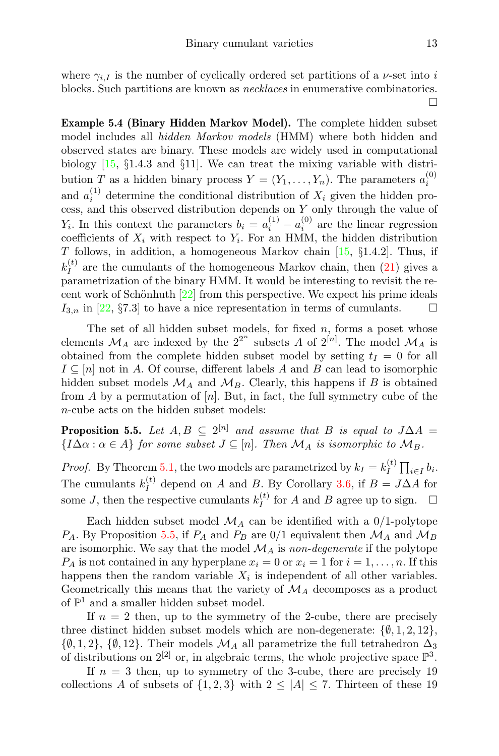where  $\gamma_{i,I}$  is the number of cyclically ordered set partitions of a *v*-set into *i* blocks. Such partitions are known as necklaces in enumerative combinatorics.  $\Box$ 

Example 5.4 (Binary Hidden Markov Model). The complete hidden subset model includes all *hidden Markov models* (HMM) where both hidden and observed states are binary. These models are widely used in computational biology [\[15,](#page-20-14) §1.4.3 and §11]. We can treat the mixing variable with distribution T as a hidden binary process  $Y = (Y_1, \ldots, Y_n)$ . The parameters  $a_i^{(0)}$ and  $a_i^{(1)}$  determine the conditional distribution of  $X_i$  given the hidden process, and this observed distribution depends on Y only through the value of  $Y_i$ . In this context the parameters  $b_i = a_i^{(1)} - a_i^{(0)}$  are the linear regression coefficients of  $X_i$  with respect to  $Y_i$ . For an HMM, the hidden distribution T follows, in addition, a homogeneous Markov chain  $[15, §1.4.2]$  $[15, §1.4.2]$ . Thus, if  $k_I^{(t)}$  $I_I^{(t)}$  are the cumulants of the homogeneous Markov chain, then  $(21)$  gives a parametrization of the binary HMM. It would be interesting to revisit the recent work of Schönhuth  $[22]$  from this perspective. We expect his prime ideals  $I_{3,n}$  in [\[22,](#page-20-15) §7.3] to have a nice representation in terms of cumulants.  $\Box$ 

The set of all hidden subset models, for fixed  $n$ , forms a poset whose elements  $\mathcal{M}_A$  are indexed by the  $2^{2^n}$  subsets A of  $2^{[n]}$ . The model  $\mathcal{M}_A$  is obtained from the complete hidden subset model by setting  $t_I = 0$  for all  $I \subseteq [n]$  not in A. Of course, different labels A and B can lead to isomorphic hidden subset models  $\mathcal{M}_A$  and  $\mathcal{M}_B$ . Clearly, this happens if B is obtained from A by a permutation of  $[n]$ . But, in fact, the full symmetry cube of the n-cube acts on the hidden subset models:

<span id="page-12-0"></span>**Proposition 5.5.** Let  $A, B \subseteq 2^{[n]}$  and assume that B is equal to  $J\Delta A =$  ${I\Delta\alpha : \alpha \in A}$  for some subset  $J \subseteq [n]$ . Then  $\mathcal{M}_A$  is isomorphic to  $\mathcal{M}_B$ .

*Proof.* By Theorem [5.1,](#page-10-0) the two models are parametrized by  $k_I = k_I^{(t)}$  $\prod_i^{(t)} \prod_{i \in I} b_i$ . The cumulants  $k_I^{(t)}$  $I_I^{(t)}$  depend on A and B. By Corollary [3.6,](#page-7-2) if  $B = J\Delta A$  for some *J*, then the respective cumulants  $k_I^{(t)}$  $I_I^{(t)}$  for A and B agree up to sign.  $\Box$ 

Each hidden subset model  $\mathcal{M}_A$  can be identified with a 0/1-polytope  $P_A$ . By Proposition [5.5,](#page-12-0) if  $P_A$  and  $P_B$  are 0/1 equivalent then  $\mathcal{M}_A$  and  $\mathcal{M}_B$ are isomorphic. We say that the model  $\mathcal{M}_A$  is non-degenerate if the polytope  $P_A$  is not contained in any hyperplane  $x_i = 0$  or  $x_i = 1$  for  $i = 1, \ldots, n$ . If this happens then the random variable  $X_i$  is independent of all other variables. Geometrically this means that the variety of  $\mathcal{M}_A$  decomposes as a product of  $\mathbb{P}^1$  and a smaller hidden subset model.

If  $n = 2$  then, up to the symmetry of the 2-cube, there are precisely three distinct hidden subset models which are non-degenerate:  $\{\emptyset, 1, 2, 12\}$ ,  $\{\emptyset, 1, 2\}, \{\emptyset, 12\}.$  Their models  $\mathcal{M}_A$  all parametrize the full tetrahedron  $\Delta_3$ of distributions on  $2^{[2]}$  or, in algebraic terms, the whole projective space  $\mathbb{P}^3$ .

If  $n = 3$  then, up to symmetry of the 3-cube, there are precisely 19 collections A of subsets of  $\{1,2,3\}$  with  $2 \leq |A| \leq 7$ . Thirteen of these 19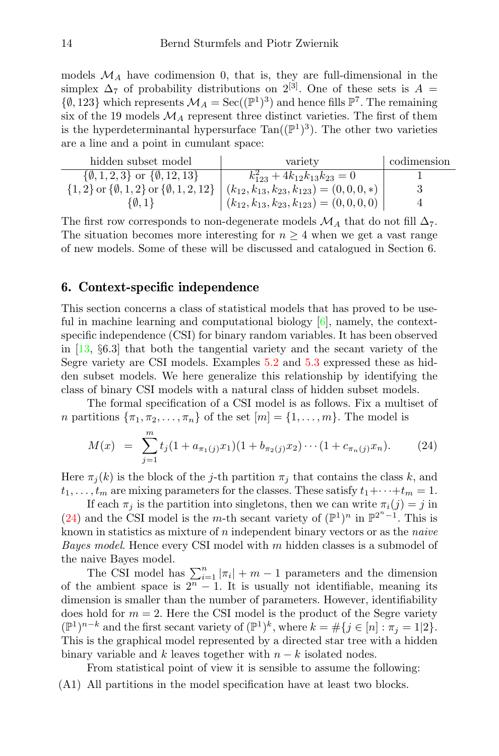models  $\mathcal{M}_A$  have codimension 0, that is, they are full-dimensional in the simplex  $\Delta_7$  of probability distributions on  $2^{[3]}$ . One of these sets is A =  $\{\emptyset, 123\}$  which represents  $\mathcal{M}_A = \text{Sec}((\mathbb{P}^1)^3)$  and hence fills  $\mathbb{P}^7$ . The remaining six of the 19 models  $\mathcal{M}_A$  represent three distinct varieties. The first of them is the hyperdeterminantal hypersurface  $Tan((\mathbb{P}^1)^3)$ . The other two varieties are a line and a point in cumulant space:

| hidden subset model                                        | variety                                            | codimension |
|------------------------------------------------------------|----------------------------------------------------|-------------|
| $\{\emptyset, 1, 2, 3\}$ or $\{\emptyset, 12, 13\}$        | $k_{123}^2 + 4k_{12}k_{13}k_{23} = 0$              |             |
| $\{1,2\}$ or $\{\emptyset,1,2\}$ or $\{\emptyset,1,2,12\}$ | $(k_{12}, k_{13}, k_{23}, k_{123}) = (0, 0, 0, *)$ |             |
| $\emptyset$ , 1                                            | $(k_{12}, k_{13}, k_{23}, k_{123}) = (0, 0, 0, 0)$ |             |

The first row corresponds to non-degenerate models  $\mathcal{M}_A$  that do not fill  $\Delta_7$ . The situation becomes more interesting for  $n \geq 4$  when we get a vast range of new models. Some of these will be discussed and catalogued in Section 6.

#### 6. Context-specific independence

This section concerns a class of statistical models that has proved to be useful in machine learning and computational biology [\[6\]](#page-19-4), namely, the contextspecific independence (CSI) for binary random variables. It has been observed in [\[13,](#page-20-12) §6.3] that both the tangential variety and the secant variety of the Segre variety are CSI models. Examples [5.2](#page-11-0) and [5.3](#page-11-2) expressed these as hidden subset models. We here generalize this relationship by identifying the class of binary CSI models with a natural class of hidden subset models.

The formal specification of a CSI model is as follows. Fix a multiset of *n* partitions  $\{\pi_1, \pi_2, \ldots, \pi_n\}$  of the set  $[m] = \{1, \ldots, m\}$ . The model is

<span id="page-13-0"></span>
$$
M(x) = \sum_{j=1}^{m} t_j (1 + a_{\pi_1(j)} x_1)(1 + b_{\pi_2(j)} x_2) \cdots (1 + c_{\pi_n(j)} x_n).
$$
 (24)

Here  $\pi_j(k)$  is the block of the j-th partition  $\pi_j$  that contains the class k, and  $t_1, \ldots, t_m$  are mixing parameters for the classes. These satisfy  $t_1 + \cdots + t_m = 1$ .

If each  $\pi_i$  is the partition into singletons, then we can write  $\pi_i(j) = j$  in [\(24\)](#page-13-0) and the CSI model is the m-th secant variety of  $(\mathbb{P}^1)^n$  in  $\mathbb{P}^{2^n-1}$ . This is known in statistics as mixture of  $n$  independent binary vectors or as the *naive Bayes model.* Hence every CSI model with  $m$  hidden classes is a submodel of the naive Bayes model.

The CSI model has  $\sum_{i=1}^{n} |\pi_i| + m - 1$  parameters and the dimension of the ambient space is  $2<sup>n</sup> - 1$ . It is usually not identifiable, meaning its dimension is smaller than the number of parameters. However, identifiability does hold for  $m = 2$ . Here the CSI model is the product of the Segre variety  $(\mathbb{P}^1)^{n-k}$  and the first secant variety of  $(\mathbb{P}^1)^k$ , where  $k = \#\{j \in [n] : \pi_j = 1 | 2\}.$ This is the graphical model represented by a directed star tree with a hidden binary variable and k leaves together with  $n - k$  isolated nodes.

From statistical point of view it is sensible to assume the following:

(A1) All partitions in the model specification have at least two blocks.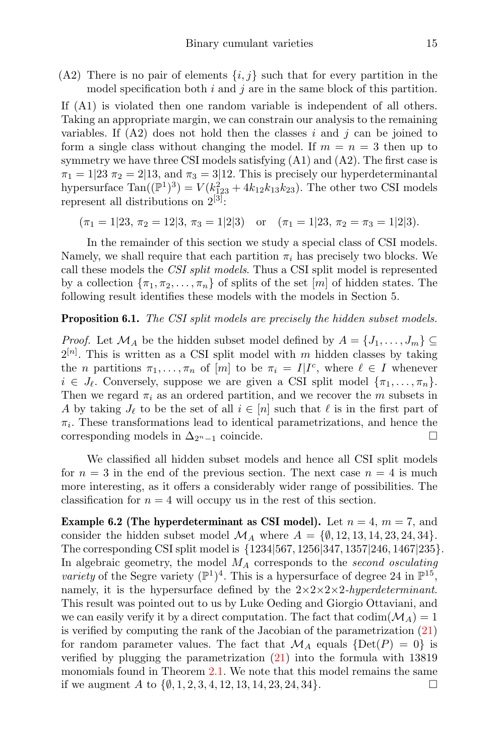(A2) There is no pair of elements  $\{i, j\}$  such that for every partition in the model specification both  $i$  and  $j$  are in the same block of this partition.

If (A1) is violated then one random variable is independent of all others. Taking an appropriate margin, we can constrain our analysis to the remaining variables. If  $(A2)$  does not hold then the classes i and j can be joined to form a single class without changing the model. If  $m = n = 3$  then up to symmetry we have three CSI models satisfying (A1) and (A2). The first case is  $\pi_1 = 1/23$   $\pi_2 = 2/13$ , and  $\pi_3 = 3/12$ . This is precisely our hyperdeterminantal hypersurface  $\text{Tan}((\mathbb{P}^1)^3) = V(k_{1,23}^2 + 4k_{12}k_{13}k_{23})$ . The other two CSI models represent all distributions on  $2^{[3]}$ :

$$
(\pi_1 = 1|23, \pi_2 = 12|3, \pi_3 = 1|2|3)
$$
 or  $(\pi_1 = 1|23, \pi_2 = \pi_3 = 1|2|3)$ .

In the remainder of this section we study a special class of CSI models. Namely, we shall require that each partition  $\pi_i$  has precisely two blocks. We call these models the CSI split models. Thus a CSI split model is represented by a collection  $\{\pi_1, \pi_2, \ldots, \pi_n\}$  of splits of the set  $[m]$  of hidden states. The following result identifies these models with the models in Section 5.

#### <span id="page-14-1"></span>**Proposition 6.1.** The CSI split models are precisely the hidden subset models.

*Proof.* Let  $\mathcal{M}_A$  be the hidden subset model defined by  $A = \{J_1, \ldots, J_m\} \subseteq$  $2^{[n]}$ . This is written as a CSI split model with m hidden classes by taking the *n* partitions  $\pi_1, \ldots, \pi_n$  of [*m*] to be  $\pi_i = I | I^c$ , where  $\ell \in I$  whenever  $i \in J_{\ell}$ . Conversely, suppose we are given a CSI split model  $\{\pi_1, \ldots, \pi_n\}$ . Then we regard  $\pi_i$  as an ordered partition, and we recover the m subsets in A by taking  $J_{\ell}$  to be the set of all  $i \in [n]$  such that  $\ell$  is in the first part of  $\pi_i$ . These transformations lead to identical parametrizations, and hence the corresponding models in  $\Delta_{2^n-1}$  coincide.

We classified all hidden subset models and hence all CSI split models for  $n = 3$  in the end of the previous section. The next case  $n = 4$  is much more interesting, as it offers a considerably wider range of possibilities. The classification for  $n = 4$  will occupy us in the rest of this section.

<span id="page-14-0"></span>**Example 6.2 (The hyperdeterminant as CSI model).** Let  $n = 4$ ,  $m = 7$ , and consider the hidden subset model  $\mathcal{M}_A$  where  $A = \{\emptyset, 12, 13, 14, 23, 24, 34\}.$ The corresponding CSI split model is {1234|567, 1256|347, 1357|246, 1467|235}. In algebraic geometry, the model  $M_A$  corresponds to the second osculating variety of the Segre variety  $(\mathbb{P}^1)^4$ . This is a hypersurface of degree 24 in  $\mathbb{P}^{15}$ , namely, it is the hypersurface defined by the  $2 \times 2 \times 2 \times 2$ -hyperdeterminant. This result was pointed out to us by Luke Oeding and Giorgio Ottaviani, and we can easily verify it by a direct computation. The fact that  $\text{codim}(\mathcal{M}_A) = 1$ is verified by computing the rank of the Jacobian of the parametrization [\(21\)](#page-10-2) for random parameter values. The fact that  $\mathcal{M}_A$  equals  $\{\text{Det}(P) = 0\}$  is verified by plugging the parametrization [\(21\)](#page-10-2) into the formula with 13819 monomials found in Theorem [2.1.](#page-3-1) We note that this model remains the same if we augment A to  $\{\emptyset, 1, 2, 3, 4, 12, 13, 14, 23, 24, 34\}.$  □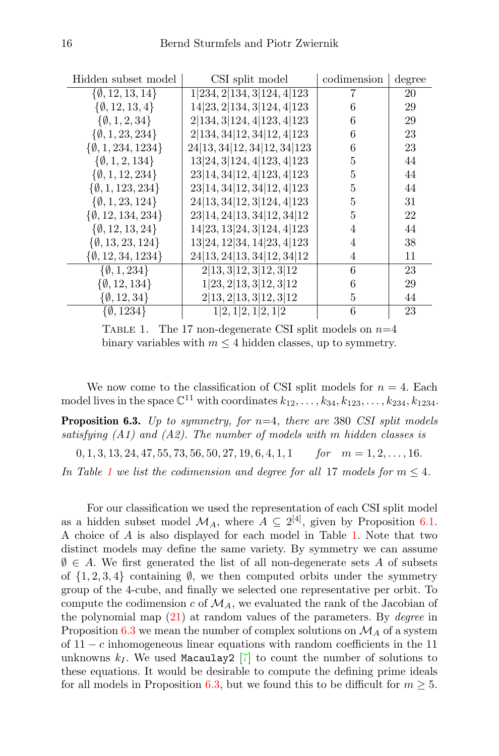| Hidden subset model           | CSI split model                      | codimension    | degree |
|-------------------------------|--------------------------------------|----------------|--------|
| $\{\emptyset, 12, 13, 14\}$   | $1 234,\overline{2 134,3 124,4 123}$ | 7              | 20     |
| $\{\emptyset, 12, 13, 4\}$    | 14 23, 2 134, 3 124, 4 123           | 6              | 29     |
| $\{\emptyset, 1, 2, 34\}$     | 2 134, 3 124, 4 123, 4 123           | 6              | 29     |
| $\{\emptyset, 1, 23, 234\}$   | 2 134, 34 12, 34 12, 4 123           | 6              | 23     |
| $\{\emptyset, 1, 234, 1234\}$ | 24 13, 34 12, 34 12, 34 123          | 6              | 23     |
| $\{\emptyset, 1, 2, 134\}$    | 13 24, 3 124, 4 123, 4 123           | 5              | 44     |
| $\{\emptyset, 1, 12, 234\}$   | 23 14, 34 12, 4 123, 4 123           | 5              | 44     |
| $\{\emptyset, 1, 123, 234\}$  | 23 14, 34 12, 34 12, 4 123           | $\overline{5}$ | 44     |
| $\{\emptyset, 1, 23, 124\}$   | 24 13, 34 12, 3 124, 4 123           | 5              | 31     |
| $\{\emptyset, 12, 134, 234\}$ | 23 14, 24 13, 34 12, 34 12           | 5              | 22     |
| $\{\emptyset, 12, 13, 24\}$   | 14 23, 13 24, 3 124, 4 123           | 4              | 44     |
| $\{\emptyset, 13, 23, 124\}$  | 13 24, 12 34, 14 23, 4 123           | 4              | 38     |
| $\{\emptyset, 12, 34, 1234\}$ | 24 13, 24 13, 34 12, 34 12           | $\overline{4}$ | 11     |
| $\{\emptyset, 1, 234\}$       | 2 13,3 12,3 12,3 12                  | 6              | 23     |
| $\{\emptyset, 12, 134\}$      | 1 23,2 13,3 12,3 12                  | 6              | 29     |
| $\{\emptyset, 12, 34\}$       | 2 13,2 13,3 12,3 12                  | 5              | 44     |
| $\{\emptyset, 1234\}$         | 1 2, 1 2, 1 2, 1 2                   | 6              | 23     |

<span id="page-15-0"></span>TABLE 1. The 17 non-degenerate CSI split models on  $n=4$ binary variables with  $m \leq 4$  hidden classes, up to symmetry.

We now come to the classification of CSI split models for  $n = 4$ . Each model lives in the space  $\mathbb{C}^{11}$  with coordinates  $k_{12}, \ldots, k_{34}, k_{123}, \ldots, k_{234}, k_{1234}$ .

<span id="page-15-1"></span>**Proposition 6.3.** Up to symmetry, for  $n=4$ , there are 380 CSI split models satisfying  $(A1)$  and  $(A2)$ . The number of models with m hidden classes is

 $0, 1, 3, 13, 24, 47, 55, 73, 56, 50, 27, 19, 6, 4, 1, 1$  for  $m = 1, 2, \ldots, 16$ .

In Table [1](#page-15-0) we list the codimension and degree for all 17 models for  $m \leq 4$ .

For our classification we used the representation of each CSI split model as a hidden subset model  $\mathcal{M}_A$ , where  $A \subseteq 2^{[4]}$ , given by Proposition [6.1.](#page-14-1) A choice of A is also displayed for each model in Table [1.](#page-15-0) Note that two distinct models may define the same variety. By symmetry we can assume  $\emptyset \in A$ . We first generated the list of all non-degenerate sets A of subsets of  $\{1, 2, 3, 4\}$  containing  $\emptyset$ , we then computed orbits under the symmetry group of the 4-cube, and finally we selected one representative per orbit. To compute the codimension c of  $\mathcal{M}_A$ , we evaluated the rank of the Jacobian of the polynomial map  $(21)$  at random values of the parameters. By *degree* in Proposition [6.3](#page-15-1) we mean the number of complex solutions on  $\mathcal{M}_A$  of a system of  $11 - c$  inhomogeneous linear equations with random coefficients in the 11 unknowns  $k_I$ . We used Macaulay2 [\[7\]](#page-19-7) to count the number of solutions to these equations. It would be desirable to compute the defining prime ideals for all models in Proposition [6.3,](#page-15-1) but we found this to be difficult for  $m \geq 5$ .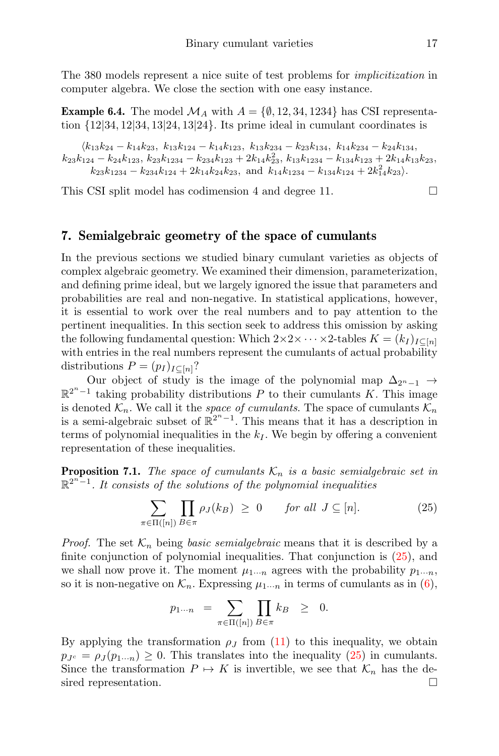The 380 models represent a nice suite of test problems for implicitization in computer algebra. We close the section with one easy instance.

**Example 6.4.** The model  $\mathcal{M}_A$  with  $A = \{\emptyset, 12, 34, 1234\}$  has CSI representation  $\{12|34, 12|34, 13|24, 13|24\}$ . Its prime ideal in cumulant coordinates is

 $\langle k_{13}k_{24} - k_{14}k_{23}, k_{13}k_{124} - k_{14}k_{123}, k_{13}k_{234} - k_{23}k_{134}, k_{14}k_{234} - k_{24}k_{134},$  $k_{23}k_{124} - k_{24}k_{123}$ ,  $k_{23}k_{1234} - k_{234}k_{123} + 2k_{14}k_{23}^2$ ,  $k_{13}k_{1234} - k_{134}k_{123} + 2k_{14}k_{13}k_{23}$ ,  $k_{23}k_{1234} - k_{234}k_{124} + 2k_{14}k_{24}k_{23}$ , and  $k_{14}k_{1234} - k_{134}k_{124} + 2k_{14}^2k_{23}$ .

This CSI split model has codimension 4 and degree 11.

# <span id="page-16-0"></span>7. Semialgebraic geometry of the space of cumulants

In the previous sections we studied binary cumulant varieties as objects of complex algebraic geometry. We examined their dimension, parameterization, and defining prime ideal, but we largely ignored the issue that parameters and probabilities are real and non-negative. In statistical applications, however, it is essential to work over the real numbers and to pay attention to the pertinent inequalities. In this section seek to address this omission by asking the following fundamental question: Which  $2 \times 2 \times \cdots \times 2$ -tables  $K = (k_I)_{I \subset [n]}$ with entries in the real numbers represent the cumulants of actual probability distributions  $P = (p_I)_{I \subset [n]}$ ?

Our object of study is the image of the polynomial map  $\Delta_{2^{n}-1}$  →  $\mathbb{R}^{2^{n}-1}$  taking probability distributions P to their cumulants K. This image is denoted  $\mathcal{K}_n$ . We call it the *space of cumulants*. The space of cumulants  $\mathcal{K}_n$ is a semi-algebraic subset of  $\mathbb{R}^{2^n-1}$ . This means that it has a description in terms of polynomial inequalities in the  $k_I$ . We begin by offering a convenient representation of these inequalities.

<span id="page-16-2"></span>**Proposition 7.1.** The space of cumulants  $\mathcal{K}_n$  is a basic semialgebraic set in  $\mathbb{R}^{2^n-1}$ . It consists of the solutions of the polynomial inequalities

<span id="page-16-1"></span>
$$
\sum_{\pi \in \Pi([n])} \prod_{B \in \pi} \rho_J(k_B) \ge 0 \quad \text{for all } J \subseteq [n]. \tag{25}
$$

*Proof.* The set  $\mathcal{K}_n$  being basic semialgebraic means that it is described by a finite conjunction of polynomial inequalities. That conjunction is [\(25\)](#page-16-1), and we shall now prove it. The moment  $\mu_{1\cdots n}$  agrees with the probability  $p_{1\cdots n}$ , so it is non-negative on  $\mathcal{K}_n$ . Expressing  $\mu_{1\cdots n}$  in terms of cumulants as in [\(6\)](#page-1-2),

$$
p_{1\cdots n} = \sum_{\pi \in \Pi([n])} \prod_{B \in \pi} k_B \geq 0.
$$

By applying the transformation  $\rho_J$  from [\(11\)](#page-7-0) to this inequality, we obtain  $p_{J<sup>c</sup>} = \rho_J(p_1..._n) \geq 0$ . This translates into the inequality [\(25\)](#page-16-1) in cumulants. Since the transformation  $P \mapsto K$  is invertible, we see that  $\mathcal{K}_n$  has the desired representation.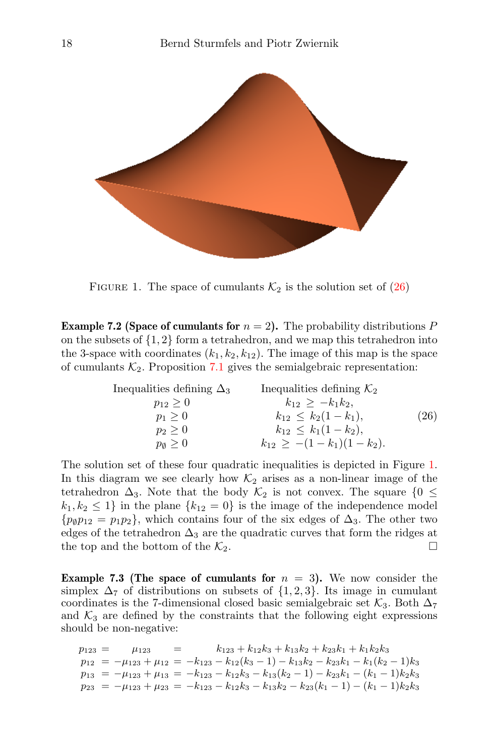

<span id="page-17-1"></span>FIGURE 1. The space of cumulants  $\mathcal{K}_2$  is the solution set of [\(26\)](#page-17-0)

<span id="page-17-2"></span>**Example 7.2 (Space of cumulants for**  $n = 2$ ). The probability distributions P on the subsets of  $\{1, 2\}$  form a tetrahedron, and we map this tetrahedron into the 3-space with coordinates  $(k_1, k_2, k_{12})$ . The image of this map is the space of cumulants  $K_2$ . Proposition [7.1](#page-16-2) gives the semialgebraic representation:

<span id="page-17-0"></span>Inequalities defining 
$$
\Delta_3
$$
  
\n $p_{12} \ge 0$   
\n $p_1 \ge 0$   
\n $p_2 \ge 0$   
\n $p_0 \ge 0$   
\nInequalities defining  $K_2$   
\n $k_{12} \ge -k_1k_2$ ,  
\n $k_{12} \le k_2(1 - k_1)$ ,  
\n $k_{12} \le k_1(1 - k_2)$ ,  
\n $k_{12} \ge -(1 - k_1)(1 - k_2)$ .  
\n(26)

The solution set of these four quadratic inequalities is depicted in Figure [1.](#page-17-1) In this diagram we see clearly how  $\mathcal{K}_2$  arises as a non-linear image of the tetrahedron  $\Delta_3$ . Note that the body  $\mathcal{K}_2$  is not convex. The square  $\{0 \leq$  $k_1, k_2 \leq 1$  in the plane  $\{k_{12} = 0\}$  is the image of the independence model  $\{p_{\emptyset}p_{12} = p_1p_2\}$ , which contains four of the six edges of  $\Delta_3$ . The other two edges of the tetrahedron  $\Delta_3$  are the quadratic curves that form the ridges at the top and the bottom of the  $\mathcal{K}_2$ .

**Example 7.3 (The space of cumulants for**  $n = 3$ ). We now consider the simplex  $\Delta_7$  of distributions on subsets of  $\{1,2,3\}$ . Its image in cumulant coordinates is the 7-dimensional closed basic semialgebraic set  $\mathcal{K}_3$ . Both  $\Delta_7$ and  $K_3$  are defined by the constraints that the following eight expressions should be non-negative:

 $p_{123} = \mu_{123} = k_{123} + k_{12}k_3 + k_{13}k_2 + k_{23}k_1 + k_1k_2k_3$  $p_{12} = -\mu_{123} + \mu_{12} = -k_{123} - k_{12}(k_3 - 1) - k_{13}k_2 - k_{23}k_1 - k_1(k_2 - 1)k_3$  $p_{13} = -\mu_{123} + \mu_{13} = -k_{123} - k_{12}k_3 - k_{13}(k_2 - 1) - k_{23}k_1 - (k_1 - 1)k_2k_3$  $p_{23} = -\mu_{123} + \mu_{23} = -k_{123} - k_{12}k_3 - k_{13}k_2 - k_{23}(k_1 - 1) - (k_1 - 1)k_2k_3$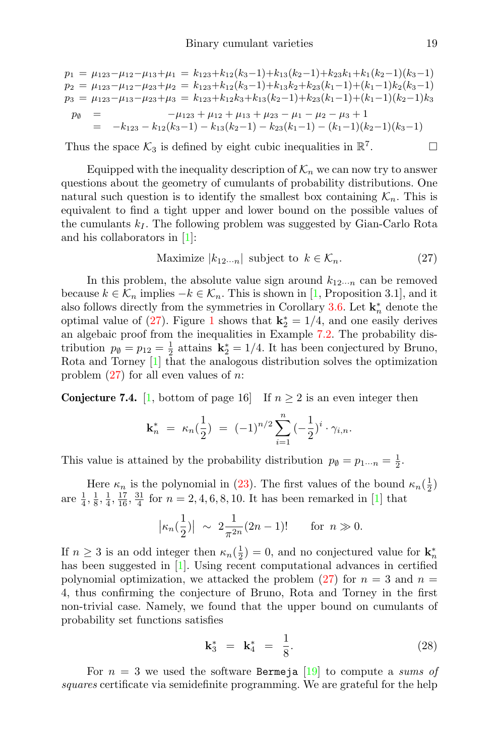$$
p_1 = \mu_{123} - \mu_{12} - \mu_{13} + \mu_1 = k_{123} + k_{12}(k_3 - 1) + k_{13}(k_2 - 1) + k_{23}k_1 + k_1(k_2 - 1)(k_3 - 1)
$$
  
\n
$$
p_2 = \mu_{123} - \mu_{12} - \mu_{23} + \mu_2 = k_{123} + k_{12}(k_3 - 1) + k_{13}k_2 + k_{23}(k_1 - 1) + (k_1 - 1)k_2(k_3 - 1)
$$
  
\n
$$
p_3 = \mu_{123} - \mu_{13} - \mu_{23} + \mu_3 = k_{123} + k_{12}k_3 + k_{13}(k_2 - 1) + k_{23}(k_1 - 1) + (k_1 - 1)(k_2 - 1)k_3
$$
  
\n
$$
p_0 = -\mu_{123} + \mu_{12} + \mu_{13} + \mu_{23} - \mu_1 - \mu_2 - \mu_3 + 1
$$
  
\n
$$
= -k_{123} - k_{12}(k_3 - 1) - k_{13}(k_2 - 1) - k_{23}(k_1 - 1) - (k_1 - 1)(k_2 - 1)(k_3 - 1)
$$

Thus the space  $\mathcal{K}_3$  is defined by eight cubic inequalities in  $\mathbb{R}^7$ 

Equipped with the inequality description of  $\mathcal{K}_n$  we can now try to answer questions about the geometry of cumulants of probability distributions. One natural such question is to identify the smallest box containing  $\mathcal{K}_n$ . This is equivalent to find a tight upper and lower bound on the possible values of the cumulants  $k_I$ . The following problem was suggested by Gian-Carlo Rota and his collaborators in [\[1\]](#page-19-2):

<span id="page-18-0"></span>
$$
\text{Maximize } |k_{12\cdots n}| \text{ subject to } k \in \mathcal{K}_n. \tag{27}
$$

In this problem, the absolute value sign around  $k_{12\cdots n}$  can be removed because  $k \in \mathcal{K}_n$  implies  $-k \in \mathcal{K}_n$ . This is shown in [\[1,](#page-19-2) Proposition 3.1], and it also follows directly from the symmetries in Corollary [3.6.](#page-7-2) Let  $\mathbf{k}_n^*$  denote the optimal value of [\(27\)](#page-18-0). Figure [1](#page-17-1) shows that  $\mathbf{k}_2^* = 1/4$ , and one easily derives an algebaic proof from the inequalities in Example [7.2.](#page-17-2) The probability distribution  $p_{\emptyset} = p_{12} = \frac{1}{2}$  attains  $\mathbf{k}_{2}^{*} = 1/4$ . It has been conjectured by Bruno, Rota and Torney [\[1\]](#page-19-2) that the analogous distribution solves the optimization problem  $(27)$  for all even values of *n*:

**Conjecture 7.4.** [\[1,](#page-19-2) bottom of page 16] If  $n \geq 2$  is an even integer then

$$
\mathbf{k}_n^* = \kappa_n(\frac{1}{2}) = (-1)^{n/2} \sum_{i=1}^n (-\frac{1}{2})^i \cdot \gamma_{i,n}.
$$

This value is attained by the probability distribution  $p_{\emptyset} = p_{1\cdots n} = \frac{1}{2}$ .

Here  $\kappa_n$  is the polynomial in [\(23\)](#page-11-1). The first values of the bound  $\kappa_n(\frac{1}{2})$ are  $\frac{1}{4}$ ,  $\frac{1}{8}$ ,  $\frac{1}{4}$ ,  $\frac{17}{16}$ ,  $\frac{31}{4}$  for  $n = 2, 4, 6, 8, 10$ . It has been remarked in [\[1\]](#page-19-2) that

$$
|\kappa_n(\frac{1}{2})| \sim 2\frac{1}{\pi^{2n}}(2n-1)!
$$
 for  $n \gg 0$ .

If  $n \geq 3$  is an odd integer then  $\kappa_n(\frac{1}{2}) = 0$ , and no conjectured value for  $\mathbf{k}_n^*$ has been suggested in [\[1\]](#page-19-2). Using recent computational advances in certified polynomial optimization, we attacked the problem [\(27\)](#page-18-0) for  $n = 3$  and  $n =$ 4, thus confirming the conjecture of Bruno, Rota and Torney in the first non-trivial case. Namely, we found that the upper bound on cumulants of probability set functions satisfies

$$
\mathbf{k}_3^* = \mathbf{k}_4^* = \frac{1}{8}.
$$
 (28)

For  $n = 3$  we used the software Bermeja [\[19\]](#page-20-16) to compute a sums of squares certificate via semidefinite programming. We are grateful for the help

 $\Box$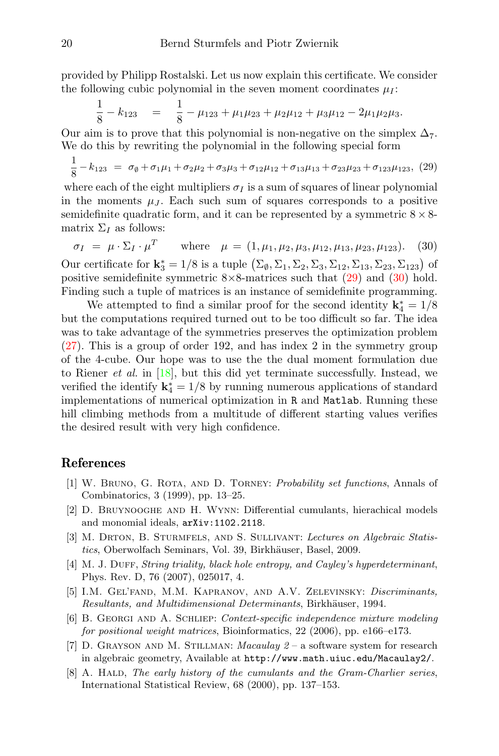provided by Philipp Rostalski. Let us now explain this certificate. We consider the following cubic polynomial in the seven moment coordinates  $\mu_I$ :

$$
\frac{1}{8} - k_{123} = \frac{1}{8} - \mu_{123} + \mu_1 \mu_{23} + \mu_2 \mu_{12} + \mu_3 \mu_{12} - 2 \mu_1 \mu_2 \mu_3.
$$

Our aim is to prove that this polynomial is non-negative on the simplex  $\Delta_7$ . We do this by rewriting the polynomial in the following special form

<span id="page-19-8"></span>
$$
\frac{1}{8} - k_{123} = \sigma_{\emptyset} + \sigma_1 \mu_1 + \sigma_2 \mu_2 + \sigma_3 \mu_3 + \sigma_{12} \mu_{12} + \sigma_{13} \mu_{13} + \sigma_{23} \mu_{23} + \sigma_{123} \mu_{123}, \tag{29}
$$

where each of the eight multipliers  $\sigma_I$  is a sum of squares of linear polynomial in the moments  $\mu_J$ . Each such sum of squares corresponds to a positive semidefinite quadratic form, and it can be represented by a symmetric  $8 \times 8$ matrix  $\Sigma_I$  as follows:

<span id="page-19-9"></span>
$$
\sigma_I = \mu \cdot \Sigma_I \cdot \mu^T \quad \text{where} \quad \mu = (1, \mu_1, \mu_2, \mu_3, \mu_{12}, \mu_{13}, \mu_{23}, \mu_{123}). \tag{30}
$$

Our certificate for  $\mathbf{k}_3^* = 1/8$  is a tuple  $(\Sigma_{\emptyset}, \Sigma_1, \Sigma_2, \Sigma_3, \Sigma_{12}, \Sigma_{13}, \Sigma_{23}, \Sigma_{123})$  of positive semidefinite symmetric  $8\times8$ -matrices such that  $(29)$  and  $(30)$  hold. Finding such a tuple of matrices is an instance of semidefinite programming.

We attempted to find a similar proof for the second identity  ${\bf k}_4^*=1/8$ but the computations required turned out to be too difficult so far. The idea was to take advantage of the symmetries preserves the optimization problem [\(27\)](#page-18-0). This is a group of order 192, and has index 2 in the symmetry group of the 4-cube. Our hope was to use the the dual moment formulation due to Riener *et al.* in  $[18]$ , but this did yet terminate successfully. Instead, we verified the identify  ${\bf k}_4^*=1/8$  by running numerous applications of standard implementations of numerical optimization in R and Matlab. Running these hill climbing methods from a multitude of different starting values verifies the desired result with very high confidence.

#### References

- <span id="page-19-2"></span>[1] W. Bruno, G. Rota, and D. Torney: Probability set functions, Annals of Combinatorics, 3 (1999), pp. 13–25.
- <span id="page-19-1"></span>[2] D. Bruynooghe and H. Wynn: Differential cumulants, hierachical models and monomial ideals, arXiv:1102.2118.
- <span id="page-19-3"></span>[3] M. DRTON, B. STURMFELS, AND S. SULLIVANT: Lectures on Algebraic Statistics, Oberwolfach Seminars, Vol. 39, Birkhäuser, Basel, 2009.
- <span id="page-19-6"></span>[4] M. J. DUFF, String triality, black hole entropy, and Cayley's hyperdeterminant, Phys. Rev. D, 76 (2007), 025017, 4.
- <span id="page-19-5"></span>[5] I.M. Gel'fand, M.M. Kapranov, and A.V. Zelevinsky: Discriminants, Resultants, and Multidimensional Determinants, Birkhäuser, 1994.
- <span id="page-19-4"></span>[6] B. Georgi and A. Schliep: Context-specific independence mixture modeling for positional weight matrices, Bioinformatics, 22 (2006), pp. e166–e173.
- <span id="page-19-7"></span>[7] D. GRAYSON AND M. STILLMAN: *Macaulay*  $2 - a$  software system for research in algebraic geometry, Available at http://www.math.uiuc.edu/Macaulay2/.
- <span id="page-19-0"></span>[8] A. HALD, The early history of the cumulants and the Gram-Charlier series, International Statistical Review, 68 (2000), pp. 137–153.